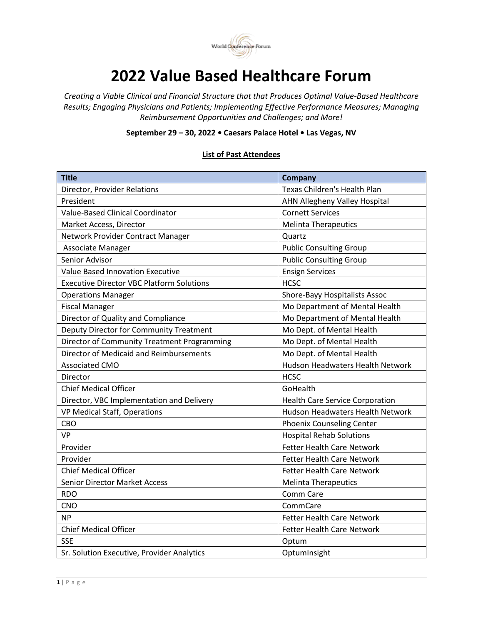

## **2022 Value Based Healthcare Forum**

*Creating a Viable Clinical and Financial Structure that that Produces Optimal Value-Based Healthcare Results; Engaging Physicians and Patients; Implementing Effective Performance Measures; Managing Reimbursement Opportunities and Challenges; and More!* 

**September 29 – 30, 2022 • Caesars Palace Hotel • Las Vegas, NV**

## **List of Past Attendees**

| <b>Title</b>                                     | <b>Company</b>                          |
|--------------------------------------------------|-----------------------------------------|
| Director, Provider Relations                     | Texas Children's Health Plan            |
| President                                        | AHN Allegheny Valley Hospital           |
| Value-Based Clinical Coordinator                 | <b>Cornett Services</b>                 |
| Market Access, Director                          | <b>Melinta Therapeutics</b>             |
| Network Provider Contract Manager                | Quartz                                  |
| Associate Manager                                | <b>Public Consulting Group</b>          |
| Senior Advisor                                   | <b>Public Consulting Group</b>          |
| <b>Value Based Innovation Executive</b>          | <b>Ensign Services</b>                  |
| <b>Executive Director VBC Platform Solutions</b> | <b>HCSC</b>                             |
| <b>Operations Manager</b>                        | Shore-Bayy Hospitalists Assoc           |
| <b>Fiscal Manager</b>                            | Mo Department of Mental Health          |
| Director of Quality and Compliance               | Mo Department of Mental Health          |
| Deputy Director for Community Treatment          | Mo Dept. of Mental Health               |
| Director of Community Treatment Programming      | Mo Dept. of Mental Health               |
| Director of Medicaid and Reimbursements          | Mo Dept. of Mental Health               |
| <b>Associated CMO</b>                            | <b>Hudson Headwaters Health Network</b> |
| Director                                         | <b>HCSC</b>                             |
| <b>Chief Medical Officer</b>                     | GoHealth                                |
| Director, VBC Implementation and Delivery        | <b>Health Care Service Corporation</b>  |
| VP Medical Staff, Operations                     | <b>Hudson Headwaters Health Network</b> |
| CBO                                              | <b>Phoenix Counseling Center</b>        |
| <b>VP</b>                                        | <b>Hospital Rehab Solutions</b>         |
| Provider                                         | <b>Fetter Health Care Network</b>       |
| Provider                                         | <b>Fetter Health Care Network</b>       |
| <b>Chief Medical Officer</b>                     | <b>Fetter Health Care Network</b>       |
| <b>Senior Director Market Access</b>             | <b>Melinta Therapeutics</b>             |
| <b>RDO</b>                                       | Comm Care                               |
| <b>CNO</b>                                       | CommCare                                |
| <b>NP</b>                                        | <b>Fetter Health Care Network</b>       |
| <b>Chief Medical Officer</b>                     | <b>Fetter Health Care Network</b>       |
| <b>SSE</b>                                       | Optum                                   |
| Sr. Solution Executive, Provider Analytics       | OptumInsight                            |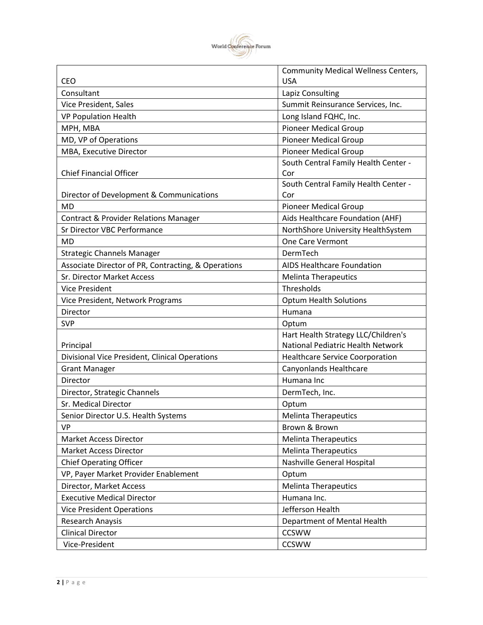

|                                                     | <b>Community Medical Wellness Centers,</b> |
|-----------------------------------------------------|--------------------------------------------|
| <b>CEO</b>                                          | <b>USA</b>                                 |
| Consultant                                          | Lapiz Consulting                           |
| Vice President, Sales                               | Summit Reinsurance Services, Inc.          |
| <b>VP Population Health</b>                         | Long Island FQHC, Inc.                     |
| MPH, MBA                                            | <b>Pioneer Medical Group</b>               |
| MD, VP of Operations                                | <b>Pioneer Medical Group</b>               |
| MBA, Executive Director                             | <b>Pioneer Medical Group</b>               |
|                                                     | South Central Family Health Center -       |
| <b>Chief Financial Officer</b>                      | Cor                                        |
|                                                     | South Central Family Health Center -       |
| Director of Development & Communications            | Cor                                        |
| <b>MD</b>                                           | <b>Pioneer Medical Group</b>               |
| <b>Contract &amp; Provider Relations Manager</b>    | Aids Healthcare Foundation (AHF)           |
| Sr Director VBC Performance                         | NorthShore University HealthSystem         |
| <b>MD</b>                                           | One Care Vermont                           |
| <b>Strategic Channels Manager</b>                   | DermTech                                   |
| Associate Director of PR, Contracting, & Operations | <b>AIDS Healthcare Foundation</b>          |
| <b>Sr. Director Market Access</b>                   | <b>Melinta Therapeutics</b>                |
| <b>Vice President</b>                               | Thresholds                                 |
| Vice President, Network Programs                    | <b>Optum Health Solutions</b>              |
| Director                                            | Humana                                     |
| <b>SVP</b>                                          | Optum                                      |
|                                                     | Hart Health Strategy LLC/Children's        |
| Principal                                           | National Pediatric Health Network          |
| Divisional Vice President, Clinical Operations      | <b>Healthcare Service Coorporation</b>     |
| <b>Grant Manager</b>                                | Canyonlands Healthcare                     |
| Director                                            | Humana Inc                                 |
| Director, Strategic Channels                        | DermTech, Inc.                             |
| Sr. Medical Director                                | Optum                                      |
| Senior Director U.S. Health Systems                 | <b>Melinta Therapeutics</b>                |
| <b>VP</b>                                           | Brown & Brown                              |
| <b>Market Access Director</b>                       | <b>Melinta Therapeutics</b>                |
| <b>Market Access Director</b>                       | <b>Melinta Therapeutics</b>                |
| <b>Chief Operating Officer</b>                      | Nashville General Hospital                 |
| VP, Payer Market Provider Enablement                | Optum                                      |
| Director, Market Access                             | <b>Melinta Therapeutics</b>                |
| <b>Executive Medical Director</b>                   | Humana Inc.                                |
| <b>Vice President Operations</b>                    | Jefferson Health                           |
| Research Anaysis                                    | Department of Mental Health                |
| <b>Clinical Director</b>                            | <b>CCSWW</b>                               |
| Vice-President                                      | <b>CCSWW</b>                               |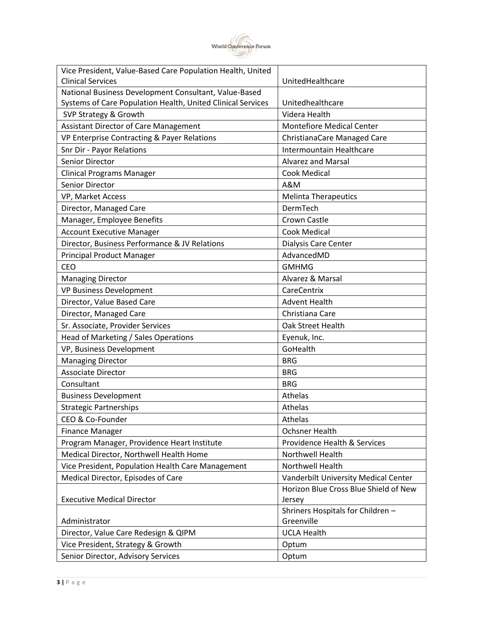

| Vice President, Value-Based Care Population Health, United  |                                       |
|-------------------------------------------------------------|---------------------------------------|
| <b>Clinical Services</b>                                    | UnitedHealthcare                      |
| National Business Development Consultant, Value-Based       |                                       |
| Systems of Care Population Health, United Clinical Services | Unitedhealthcare                      |
| SVP Strategy & Growth                                       | Videra Health                         |
| <b>Assistant Director of Care Management</b>                | <b>Montefiore Medical Center</b>      |
| VP Enterprise Contracting & Payer Relations                 | ChristianaCare Managed Care           |
| <b>Snr Dir - Payor Relations</b>                            | Intermountain Healthcare              |
| Senior Director                                             | <b>Alvarez and Marsal</b>             |
| <b>Clinical Programs Manager</b>                            | <b>Cook Medical</b>                   |
| Senior Director                                             | A&M                                   |
| VP, Market Access                                           | <b>Melinta Therapeutics</b>           |
| Director, Managed Care                                      | DermTech                              |
| Manager, Employee Benefits                                  | Crown Castle                          |
| <b>Account Executive Manager</b>                            | <b>Cook Medical</b>                   |
| Director, Business Performance & JV Relations               | Dialysis Care Center                  |
| <b>Principal Product Manager</b>                            | AdvancedMD                            |
| <b>CEO</b>                                                  | <b>GMHMG</b>                          |
| <b>Managing Director</b>                                    | Alvarez & Marsal                      |
| <b>VP Business Development</b>                              | CareCentrix                           |
| Director, Value Based Care                                  | <b>Advent Health</b>                  |
| Director, Managed Care                                      | Christiana Care                       |
| Sr. Associate, Provider Services                            | Oak Street Health                     |
| Head of Marketing / Sales Operations                        | Eyenuk, Inc.                          |
| VP, Business Development                                    | GoHealth                              |
| <b>Managing Director</b>                                    | <b>BRG</b>                            |
| <b>Associate Director</b>                                   | <b>BRG</b>                            |
| Consultant                                                  | <b>BRG</b>                            |
| <b>Business Development</b>                                 | Athelas                               |
| <b>Strategic Partnerships</b>                               | Athelas                               |
| CEO & Co-Founder                                            | Athelas                               |
| <b>Finance Manager</b>                                      | <b>Ochsner Health</b>                 |
| Program Manager, Providence Heart Institute                 | Providence Health & Services          |
| Medical Director, Northwell Health Home                     | Northwell Health                      |
| Vice President, Population Health Care Management           | Northwell Health                      |
| Medical Director, Episodes of Care                          | Vanderbilt University Medical Center  |
|                                                             | Horizon Blue Cross Blue Shield of New |
| <b>Executive Medical Director</b>                           | Jersey                                |
|                                                             | Shriners Hospitals for Children -     |
| Administrator                                               | Greenville                            |
| Director, Value Care Redesign & QIPM                        | <b>UCLA Health</b>                    |
| Vice President, Strategy & Growth                           | Optum                                 |
| Senior Director, Advisory Services                          | Optum                                 |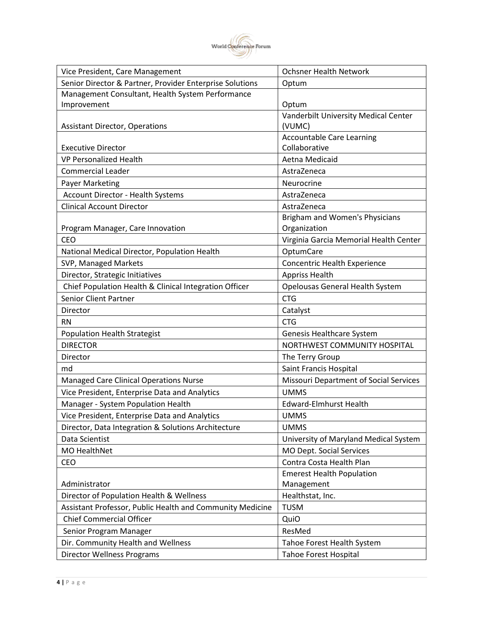

| Vice President, Care Management                           | <b>Ochsner Health Network</b>                 |
|-----------------------------------------------------------|-----------------------------------------------|
| Senior Director & Partner, Provider Enterprise Solutions  | Optum                                         |
| Management Consultant, Health System Performance          |                                               |
| Improvement                                               | Optum                                         |
|                                                           | Vanderbilt University Medical Center          |
| <b>Assistant Director, Operations</b>                     | (VUMC)                                        |
|                                                           | <b>Accountable Care Learning</b>              |
| <b>Executive Director</b>                                 | Collaborative                                 |
| <b>VP Personalized Health</b>                             | Aetna Medicaid                                |
| <b>Commercial Leader</b>                                  | AstraZeneca                                   |
| Payer Marketing                                           | Neurocrine                                    |
| Account Director - Health Systems                         | AstraZeneca                                   |
| <b>Clinical Account Director</b>                          | AstraZeneca                                   |
|                                                           | Brigham and Women's Physicians                |
| Program Manager, Care Innovation                          | Organization                                  |
| <b>CEO</b>                                                | Virginia Garcia Memorial Health Center        |
| National Medical Director, Population Health              | OptumCare                                     |
| SVP, Managed Markets                                      | Concentric Health Experience                  |
| Director, Strategic Initiatives                           | <b>Appriss Health</b>                         |
| Chief Population Health & Clinical Integration Officer    | Opelousas General Health System               |
| <b>Senior Client Partner</b>                              | <b>CTG</b>                                    |
| Director                                                  | Catalyst                                      |
| <b>RN</b>                                                 | <b>CTG</b>                                    |
| <b>Population Health Strategist</b>                       | Genesis Healthcare System                     |
| <b>DIRECTOR</b>                                           | NORTHWEST COMMUNITY HOSPITAL                  |
| Director                                                  | The Terry Group                               |
| md                                                        | Saint Francis Hospital                        |
| <b>Managed Care Clinical Operations Nurse</b>             | <b>Missouri Department of Social Services</b> |
| Vice President, Enterprise Data and Analytics             | <b>UMMS</b>                                   |
| Manager - System Population Health                        | <b>Edward-Elmhurst Health</b>                 |
| Vice President, Enterprise Data and Analytics             | <b>UMMS</b>                                   |
| Director, Data Integration & Solutions Architecture       | <b>UMMS</b>                                   |
| Data Scientist                                            | University of Maryland Medical System         |
| MO HealthNet                                              | MO Dept. Social Services                      |
| CEO                                                       | Contra Costa Health Plan                      |
|                                                           | <b>Emerest Health Population</b>              |
| Administrator                                             | Management                                    |
| Director of Population Health & Wellness                  | Healthstat, Inc.                              |
| Assistant Professor, Public Health and Community Medicine | <b>TUSM</b>                                   |
| <b>Chief Commercial Officer</b>                           | QuiO                                          |
| Senior Program Manager                                    | ResMed                                        |
| Dir. Community Health and Wellness                        | Tahoe Forest Health System                    |
| <b>Director Wellness Programs</b>                         | <b>Tahoe Forest Hospital</b>                  |
|                                                           |                                               |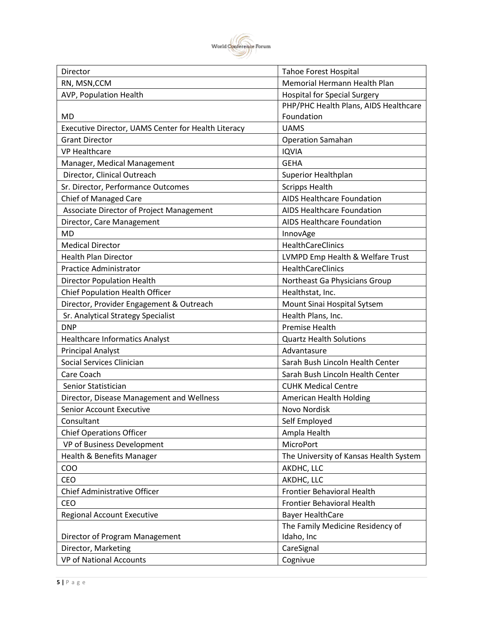

| Director                                            | <b>Tahoe Forest Hospital</b>           |
|-----------------------------------------------------|----------------------------------------|
| RN, MSN, CCM                                        | Memorial Hermann Health Plan           |
| AVP, Population Health                              | <b>Hospital for Special Surgery</b>    |
|                                                     | PHP/PHC Health Plans, AIDS Healthcare  |
| <b>MD</b>                                           | Foundation                             |
| Executive Director, UAMS Center for Health Literacy | <b>UAMS</b>                            |
| <b>Grant Director</b>                               | <b>Operation Samahan</b>               |
| <b>VP Healthcare</b>                                | <b>IQVIA</b>                           |
| Manager, Medical Management                         | <b>GEHA</b>                            |
| Director, Clinical Outreach                         | <b>Superior Healthplan</b>             |
| Sr. Director, Performance Outcomes                  | <b>Scripps Health</b>                  |
| <b>Chief of Managed Care</b>                        | <b>AIDS Healthcare Foundation</b>      |
| Associate Director of Project Management            | <b>AIDS Healthcare Foundation</b>      |
| Director, Care Management                           | <b>AIDS Healthcare Foundation</b>      |
| <b>MD</b>                                           | InnovAge                               |
| <b>Medical Director</b>                             | <b>HealthCareClinics</b>               |
| <b>Health Plan Director</b>                         | LVMPD Emp Health & Welfare Trust       |
| <b>Practice Administrator</b>                       | <b>HealthCareClinics</b>               |
| <b>Director Population Health</b>                   | Northeast Ga Physicians Group          |
| Chief Population Health Officer                     | Healthstat, Inc.                       |
| Director, Provider Engagement & Outreach            | Mount Sinai Hospital Sytsem            |
| Sr. Analytical Strategy Specialist                  | Health Plans, Inc.                     |
| <b>DNP</b>                                          | <b>Premise Health</b>                  |
| <b>Healthcare Informatics Analyst</b>               | <b>Quartz Health Solutions</b>         |
| <b>Principal Analyst</b>                            | Advantasure                            |
| Social Services Clinician                           | Sarah Bush Lincoln Health Center       |
| Care Coach                                          | Sarah Bush Lincoln Health Center       |
| Senior Statistician                                 | <b>CUHK Medical Centre</b>             |
| Director, Disease Management and Wellness           | American Health Holding                |
| <b>Senior Account Executive</b>                     | Novo Nordisk                           |
| Consultant                                          | Self Employed                          |
| <b>Chief Operations Officer</b>                     | Ampla Health                           |
| VP of Business Development                          | MicroPort                              |
| Health & Benefits Manager                           | The University of Kansas Health System |
| COO                                                 | AKDHC, LLC                             |
| CEO                                                 | AKDHC, LLC                             |
| Chief Administrative Officer                        | <b>Frontier Behavioral Health</b>      |
| CEO                                                 | <b>Frontier Behavioral Health</b>      |
| <b>Regional Account Executive</b>                   | <b>Bayer HealthCare</b>                |
|                                                     | The Family Medicine Residency of       |
| Director of Program Management                      | Idaho, Inc                             |
| Director, Marketing                                 | CareSignal                             |
| <b>VP of National Accounts</b>                      | Cognivue                               |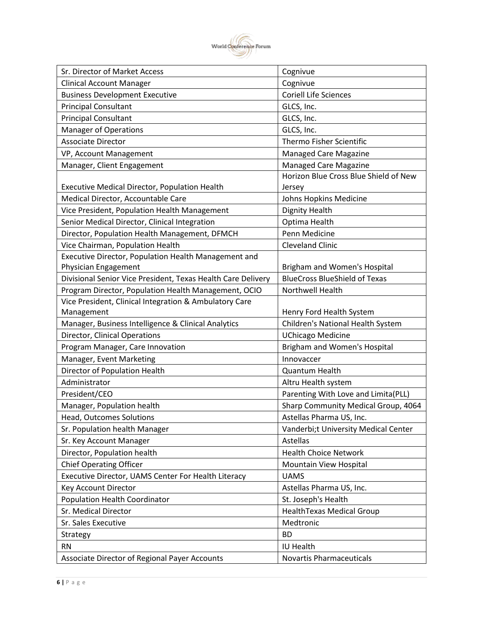

| Sr. Director of Market Access                                | Cognivue                              |
|--------------------------------------------------------------|---------------------------------------|
| <b>Clinical Account Manager</b>                              | Cognivue                              |
| <b>Business Development Executive</b>                        | <b>Coriell Life Sciences</b>          |
| <b>Principal Consultant</b>                                  | GLCS, Inc.                            |
| <b>Principal Consultant</b>                                  | GLCS, Inc.                            |
| <b>Manager of Operations</b>                                 | GLCS, Inc.                            |
| <b>Associate Director</b>                                    | Thermo Fisher Scientific              |
| VP, Account Management                                       | <b>Managed Care Magazine</b>          |
| Manager, Client Engagement                                   | Managed Care Magazine                 |
|                                                              | Horizon Blue Cross Blue Shield of New |
| Executive Medical Director, Population Health                | Jersey                                |
| Medical Director, Accountable Care                           | Johns Hopkins Medicine                |
| Vice President, Population Health Management                 | <b>Dignity Health</b>                 |
| Senior Medical Director, Clinical Integration                | Optima Health                         |
| Director, Population Health Management, DFMCH                | Penn Medicine                         |
| Vice Chairman, Population Health                             | <b>Cleveland Clinic</b>               |
| Executive Director, Population Health Management and         |                                       |
| Physician Engagement                                         | Brigham and Women's Hospital          |
| Divisional Senior Vice President, Texas Health Care Delivery | <b>BlueCross BlueShield of Texas</b>  |
| Program Director, Population Health Management, OCIO         | Northwell Health                      |
| Vice President, Clinical Integration & Ambulatory Care       |                                       |
| Management                                                   | Henry Ford Health System              |
| Manager, Business Intelligence & Clinical Analytics          | Children's National Health System     |
| Director, Clinical Operations                                | <b>UChicago Medicine</b>              |
| Program Manager, Care Innovation                             | Brigham and Women's Hospital          |
| Manager, Event Marketing                                     | Innovaccer                            |
| Director of Population Health                                | Quantum Health                        |
| Administrator                                                | Altru Health system                   |
| President/CEO                                                | Parenting With Love and Limita(PLL)   |
| Manager, Population health                                   | Sharp Community Medical Group, 4064   |
| <b>Head, Outcomes Solutions</b>                              | Astellas Pharma US, Inc.              |
| Sr. Population health Manager                                | Vanderbi;t University Medical Center  |
| Sr. Key Account Manager                                      | Astellas                              |
| Director, Population health                                  | <b>Health Choice Network</b>          |
| <b>Chief Operating Officer</b>                               | Mountain View Hospital                |
| Executive Director, UAMS Center For Health Literacy          | <b>UAMS</b>                           |
| Key Account Director                                         | Astellas Pharma US, Inc.              |
| <b>Population Health Coordinator</b>                         | St. Joseph's Health                   |
| Sr. Medical Director                                         | <b>HealthTexas Medical Group</b>      |
| Sr. Sales Executive                                          | Medtronic                             |
| Strategy                                                     | <b>BD</b>                             |
| <b>RN</b>                                                    | IU Health                             |
| Associate Director of Regional Payer Accounts                | <b>Novartis Pharmaceuticals</b>       |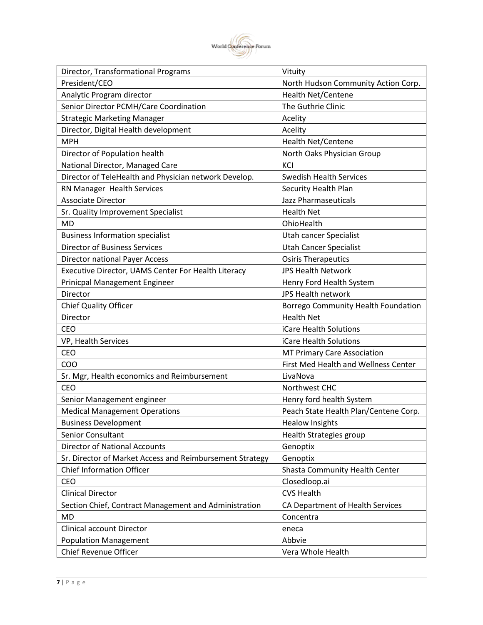

| Director, Transformational Programs                      | Vituity                               |
|----------------------------------------------------------|---------------------------------------|
| President/CEO                                            | North Hudson Community Action Corp.   |
| Analytic Program director                                | <b>Health Net/Centene</b>             |
| Senior Director PCMH/Care Coordination                   | The Guthrie Clinic                    |
| <b>Strategic Marketing Manager</b>                       | Acelity                               |
| Director, Digital Health development                     | Acelity                               |
| <b>MPH</b>                                               | <b>Health Net/Centene</b>             |
| Director of Population health                            | North Oaks Physician Group            |
| National Director, Managed Care                          | KCI                                   |
| Director of TeleHealth and Physician network Develop.    | <b>Swedish Health Services</b>        |
| RN Manager Health Services                               | Security Health Plan                  |
| <b>Associate Director</b>                                | Jazz Pharmaseuticals                  |
| Sr. Quality Improvement Specialist                       | <b>Health Net</b>                     |
| <b>MD</b>                                                | OhioHealth                            |
| <b>Business Information specialist</b>                   | Utah cancer Specialist                |
| <b>Director of Business Services</b>                     | <b>Utah Cancer Specialist</b>         |
| <b>Director national Payer Access</b>                    | <b>Osiris Therapeutics</b>            |
| Executive Director, UAMS Center For Health Literacy      | <b>JPS Health Network</b>             |
| Prinicpal Management Engineer                            | Henry Ford Health System              |
| Director                                                 | <b>JPS Health network</b>             |
| <b>Chief Quality Officer</b>                             | Borrego Community Health Foundation   |
| Director                                                 | <b>Health Net</b>                     |
| <b>CEO</b>                                               | iCare Health Solutions                |
| VP, Health Services                                      | iCare Health Solutions                |
| CEO                                                      | MT Primary Care Association           |
| COO                                                      | First Med Health and Wellness Center  |
| Sr. Mgr, Health economics and Reimbursement              | LivaNova                              |
| <b>CEO</b>                                               | Northwest CHC                         |
| Senior Management engineer                               | Henry ford health System              |
| <b>Medical Management Operations</b>                     | Peach State Health Plan/Centene Corp. |
| <b>Business Development</b>                              | <b>Healow Insights</b>                |
| Senior Consultant                                        | Health Strategies group               |
| <b>Director of National Accounts</b>                     | Genoptix                              |
| Sr. Director of Market Access and Reimbursement Strategy | Genoptix                              |
| <b>Chief Information Officer</b>                         | Shasta Community Health Center        |
| CEO                                                      | Closedloop.ai                         |
| <b>Clinical Director</b>                                 | <b>CVS Health</b>                     |
| Section Chief, Contract Management and Administration    | CA Department of Health Services      |
| MD                                                       |                                       |
|                                                          | Concentra                             |
| Clinical account Director                                | eneca                                 |
| <b>Population Management</b>                             | Abbvie                                |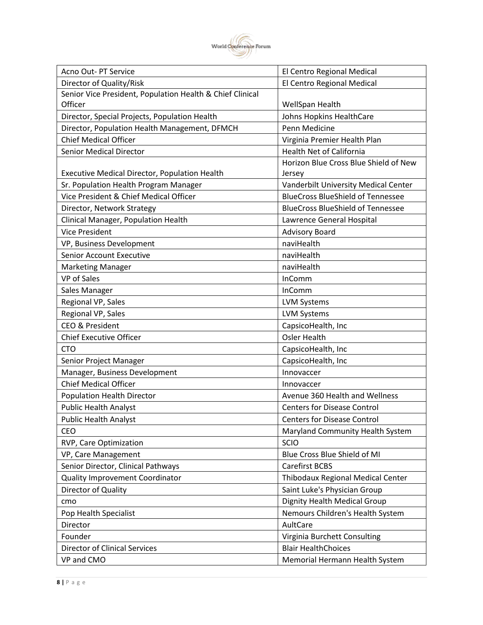

| Director of Quality/Risk<br>El Centro Regional Medical<br>Senior Vice President, Population Health & Chief Clinical<br>Officer<br>WellSpan Health<br>Director, Special Projects, Population Health<br>Johns Hopkins HealthCare<br>Penn Medicine<br>Director, Population Health Management, DFMCH<br><b>Chief Medical Officer</b><br>Virginia Premier Health Plan<br><b>Senior Medical Director</b><br><b>Health Net of California</b><br>Horizon Blue Cross Blue Shield of New<br>Executive Medical Director, Population Health<br>Jersey<br>Sr. Population Health Program Manager<br>Vanderbilt University Medical Center<br>Vice President & Chief Medical Officer<br><b>BlueCross BlueShield of Tennessee</b><br><b>BlueCross BlueShield of Tennessee</b><br>Director, Network Strategy<br>Clinical Manager, Population Health<br>Lawrence General Hospital<br><b>Vice President</b><br><b>Advisory Board</b><br>VP, Business Development<br>naviHealth<br>Senior Account Executive<br>naviHealth<br>naviHealth<br><b>Marketing Manager</b><br><b>VP</b> of Sales<br>InComm<br>InComm<br>Sales Manager<br>Regional VP, Sales<br><b>LVM Systems</b><br>Regional VP, Sales<br><b>LVM Systems</b><br>CEO & President<br>CapsicoHealth, Inc<br><b>Osler Health</b><br><b>Chief Executive Officer</b><br><b>CTO</b><br>CapsicoHealth, Inc<br>CapsicoHealth, Inc<br>Senior Project Manager<br>Manager, Business Development<br>Innovaccer<br><b>Chief Medical Officer</b><br>Innovaccer<br><b>Population Health Director</b><br>Avenue 360 Health and Wellness<br><b>Public Health Analyst</b><br><b>Centers for Disease Control</b><br><b>Public Health Analyst</b><br><b>Centers for Disease Control</b><br>CEO<br>Maryland Community Health System<br><b>SCIO</b><br>RVP, Care Optimization<br>Blue Cross Blue Shield of MI<br>VP, Care Management<br>Senior Director, Clinical Pathways<br>Carefirst BCBS<br><b>Quality Improvement Coordinator</b><br>Thibodaux Regional Medical Center<br>Saint Luke's Physician Group<br>Director of Quality<br>Dignity Health Medical Group<br>cmo<br>Nemours Children's Health System<br>Pop Health Specialist<br>AultCare<br>Director<br>Founder<br>Virginia Burchett Consulting<br><b>Blair HealthChoices</b><br><b>Director of Clinical Services</b><br>VP and CMO<br>Memorial Hermann Health System | Acno Out- PT Service | El Centro Regional Medical |
|-----------------------------------------------------------------------------------------------------------------------------------------------------------------------------------------------------------------------------------------------------------------------------------------------------------------------------------------------------------------------------------------------------------------------------------------------------------------------------------------------------------------------------------------------------------------------------------------------------------------------------------------------------------------------------------------------------------------------------------------------------------------------------------------------------------------------------------------------------------------------------------------------------------------------------------------------------------------------------------------------------------------------------------------------------------------------------------------------------------------------------------------------------------------------------------------------------------------------------------------------------------------------------------------------------------------------------------------------------------------------------------------------------------------------------------------------------------------------------------------------------------------------------------------------------------------------------------------------------------------------------------------------------------------------------------------------------------------------------------------------------------------------------------------------------------------------------------------------------------------------------------------------------------------------------------------------------------------------------------------------------------------------------------------------------------------------------------------------------------------------------------------------------------------------------------------------------------------------------------------------------------------------------------------------------------------------------------------------|----------------------|----------------------------|
|                                                                                                                                                                                                                                                                                                                                                                                                                                                                                                                                                                                                                                                                                                                                                                                                                                                                                                                                                                                                                                                                                                                                                                                                                                                                                                                                                                                                                                                                                                                                                                                                                                                                                                                                                                                                                                                                                                                                                                                                                                                                                                                                                                                                                                                                                                                                               |                      |                            |
|                                                                                                                                                                                                                                                                                                                                                                                                                                                                                                                                                                                                                                                                                                                                                                                                                                                                                                                                                                                                                                                                                                                                                                                                                                                                                                                                                                                                                                                                                                                                                                                                                                                                                                                                                                                                                                                                                                                                                                                                                                                                                                                                                                                                                                                                                                                                               |                      |                            |
|                                                                                                                                                                                                                                                                                                                                                                                                                                                                                                                                                                                                                                                                                                                                                                                                                                                                                                                                                                                                                                                                                                                                                                                                                                                                                                                                                                                                                                                                                                                                                                                                                                                                                                                                                                                                                                                                                                                                                                                                                                                                                                                                                                                                                                                                                                                                               |                      |                            |
|                                                                                                                                                                                                                                                                                                                                                                                                                                                                                                                                                                                                                                                                                                                                                                                                                                                                                                                                                                                                                                                                                                                                                                                                                                                                                                                                                                                                                                                                                                                                                                                                                                                                                                                                                                                                                                                                                                                                                                                                                                                                                                                                                                                                                                                                                                                                               |                      |                            |
|                                                                                                                                                                                                                                                                                                                                                                                                                                                                                                                                                                                                                                                                                                                                                                                                                                                                                                                                                                                                                                                                                                                                                                                                                                                                                                                                                                                                                                                                                                                                                                                                                                                                                                                                                                                                                                                                                                                                                                                                                                                                                                                                                                                                                                                                                                                                               |                      |                            |
|                                                                                                                                                                                                                                                                                                                                                                                                                                                                                                                                                                                                                                                                                                                                                                                                                                                                                                                                                                                                                                                                                                                                                                                                                                                                                                                                                                                                                                                                                                                                                                                                                                                                                                                                                                                                                                                                                                                                                                                                                                                                                                                                                                                                                                                                                                                                               |                      |                            |
|                                                                                                                                                                                                                                                                                                                                                                                                                                                                                                                                                                                                                                                                                                                                                                                                                                                                                                                                                                                                                                                                                                                                                                                                                                                                                                                                                                                                                                                                                                                                                                                                                                                                                                                                                                                                                                                                                                                                                                                                                                                                                                                                                                                                                                                                                                                                               |                      |                            |
|                                                                                                                                                                                                                                                                                                                                                                                                                                                                                                                                                                                                                                                                                                                                                                                                                                                                                                                                                                                                                                                                                                                                                                                                                                                                                                                                                                                                                                                                                                                                                                                                                                                                                                                                                                                                                                                                                                                                                                                                                                                                                                                                                                                                                                                                                                                                               |                      |                            |
|                                                                                                                                                                                                                                                                                                                                                                                                                                                                                                                                                                                                                                                                                                                                                                                                                                                                                                                                                                                                                                                                                                                                                                                                                                                                                                                                                                                                                                                                                                                                                                                                                                                                                                                                                                                                                                                                                                                                                                                                                                                                                                                                                                                                                                                                                                                                               |                      |                            |
|                                                                                                                                                                                                                                                                                                                                                                                                                                                                                                                                                                                                                                                                                                                                                                                                                                                                                                                                                                                                                                                                                                                                                                                                                                                                                                                                                                                                                                                                                                                                                                                                                                                                                                                                                                                                                                                                                                                                                                                                                                                                                                                                                                                                                                                                                                                                               |                      |                            |
|                                                                                                                                                                                                                                                                                                                                                                                                                                                                                                                                                                                                                                                                                                                                                                                                                                                                                                                                                                                                                                                                                                                                                                                                                                                                                                                                                                                                                                                                                                                                                                                                                                                                                                                                                                                                                                                                                                                                                                                                                                                                                                                                                                                                                                                                                                                                               |                      |                            |
|                                                                                                                                                                                                                                                                                                                                                                                                                                                                                                                                                                                                                                                                                                                                                                                                                                                                                                                                                                                                                                                                                                                                                                                                                                                                                                                                                                                                                                                                                                                                                                                                                                                                                                                                                                                                                                                                                                                                                                                                                                                                                                                                                                                                                                                                                                                                               |                      |                            |
|                                                                                                                                                                                                                                                                                                                                                                                                                                                                                                                                                                                                                                                                                                                                                                                                                                                                                                                                                                                                                                                                                                                                                                                                                                                                                                                                                                                                                                                                                                                                                                                                                                                                                                                                                                                                                                                                                                                                                                                                                                                                                                                                                                                                                                                                                                                                               |                      |                            |
|                                                                                                                                                                                                                                                                                                                                                                                                                                                                                                                                                                                                                                                                                                                                                                                                                                                                                                                                                                                                                                                                                                                                                                                                                                                                                                                                                                                                                                                                                                                                                                                                                                                                                                                                                                                                                                                                                                                                                                                                                                                                                                                                                                                                                                                                                                                                               |                      |                            |
|                                                                                                                                                                                                                                                                                                                                                                                                                                                                                                                                                                                                                                                                                                                                                                                                                                                                                                                                                                                                                                                                                                                                                                                                                                                                                                                                                                                                                                                                                                                                                                                                                                                                                                                                                                                                                                                                                                                                                                                                                                                                                                                                                                                                                                                                                                                                               |                      |                            |
|                                                                                                                                                                                                                                                                                                                                                                                                                                                                                                                                                                                                                                                                                                                                                                                                                                                                                                                                                                                                                                                                                                                                                                                                                                                                                                                                                                                                                                                                                                                                                                                                                                                                                                                                                                                                                                                                                                                                                                                                                                                                                                                                                                                                                                                                                                                                               |                      |                            |
|                                                                                                                                                                                                                                                                                                                                                                                                                                                                                                                                                                                                                                                                                                                                                                                                                                                                                                                                                                                                                                                                                                                                                                                                                                                                                                                                                                                                                                                                                                                                                                                                                                                                                                                                                                                                                                                                                                                                                                                                                                                                                                                                                                                                                                                                                                                                               |                      |                            |
|                                                                                                                                                                                                                                                                                                                                                                                                                                                                                                                                                                                                                                                                                                                                                                                                                                                                                                                                                                                                                                                                                                                                                                                                                                                                                                                                                                                                                                                                                                                                                                                                                                                                                                                                                                                                                                                                                                                                                                                                                                                                                                                                                                                                                                                                                                                                               |                      |                            |
|                                                                                                                                                                                                                                                                                                                                                                                                                                                                                                                                                                                                                                                                                                                                                                                                                                                                                                                                                                                                                                                                                                                                                                                                                                                                                                                                                                                                                                                                                                                                                                                                                                                                                                                                                                                                                                                                                                                                                                                                                                                                                                                                                                                                                                                                                                                                               |                      |                            |
|                                                                                                                                                                                                                                                                                                                                                                                                                                                                                                                                                                                                                                                                                                                                                                                                                                                                                                                                                                                                                                                                                                                                                                                                                                                                                                                                                                                                                                                                                                                                                                                                                                                                                                                                                                                                                                                                                                                                                                                                                                                                                                                                                                                                                                                                                                                                               |                      |                            |
|                                                                                                                                                                                                                                                                                                                                                                                                                                                                                                                                                                                                                                                                                                                                                                                                                                                                                                                                                                                                                                                                                                                                                                                                                                                                                                                                                                                                                                                                                                                                                                                                                                                                                                                                                                                                                                                                                                                                                                                                                                                                                                                                                                                                                                                                                                                                               |                      |                            |
|                                                                                                                                                                                                                                                                                                                                                                                                                                                                                                                                                                                                                                                                                                                                                                                                                                                                                                                                                                                                                                                                                                                                                                                                                                                                                                                                                                                                                                                                                                                                                                                                                                                                                                                                                                                                                                                                                                                                                                                                                                                                                                                                                                                                                                                                                                                                               |                      |                            |
|                                                                                                                                                                                                                                                                                                                                                                                                                                                                                                                                                                                                                                                                                                                                                                                                                                                                                                                                                                                                                                                                                                                                                                                                                                                                                                                                                                                                                                                                                                                                                                                                                                                                                                                                                                                                                                                                                                                                                                                                                                                                                                                                                                                                                                                                                                                                               |                      |                            |
|                                                                                                                                                                                                                                                                                                                                                                                                                                                                                                                                                                                                                                                                                                                                                                                                                                                                                                                                                                                                                                                                                                                                                                                                                                                                                                                                                                                                                                                                                                                                                                                                                                                                                                                                                                                                                                                                                                                                                                                                                                                                                                                                                                                                                                                                                                                                               |                      |                            |
|                                                                                                                                                                                                                                                                                                                                                                                                                                                                                                                                                                                                                                                                                                                                                                                                                                                                                                                                                                                                                                                                                                                                                                                                                                                                                                                                                                                                                                                                                                                                                                                                                                                                                                                                                                                                                                                                                                                                                                                                                                                                                                                                                                                                                                                                                                                                               |                      |                            |
|                                                                                                                                                                                                                                                                                                                                                                                                                                                                                                                                                                                                                                                                                                                                                                                                                                                                                                                                                                                                                                                                                                                                                                                                                                                                                                                                                                                                                                                                                                                                                                                                                                                                                                                                                                                                                                                                                                                                                                                                                                                                                                                                                                                                                                                                                                                                               |                      |                            |
|                                                                                                                                                                                                                                                                                                                                                                                                                                                                                                                                                                                                                                                                                                                                                                                                                                                                                                                                                                                                                                                                                                                                                                                                                                                                                                                                                                                                                                                                                                                                                                                                                                                                                                                                                                                                                                                                                                                                                                                                                                                                                                                                                                                                                                                                                                                                               |                      |                            |
|                                                                                                                                                                                                                                                                                                                                                                                                                                                                                                                                                                                                                                                                                                                                                                                                                                                                                                                                                                                                                                                                                                                                                                                                                                                                                                                                                                                                                                                                                                                                                                                                                                                                                                                                                                                                                                                                                                                                                                                                                                                                                                                                                                                                                                                                                                                                               |                      |                            |
|                                                                                                                                                                                                                                                                                                                                                                                                                                                                                                                                                                                                                                                                                                                                                                                                                                                                                                                                                                                                                                                                                                                                                                                                                                                                                                                                                                                                                                                                                                                                                                                                                                                                                                                                                                                                                                                                                                                                                                                                                                                                                                                                                                                                                                                                                                                                               |                      |                            |
|                                                                                                                                                                                                                                                                                                                                                                                                                                                                                                                                                                                                                                                                                                                                                                                                                                                                                                                                                                                                                                                                                                                                                                                                                                                                                                                                                                                                                                                                                                                                                                                                                                                                                                                                                                                                                                                                                                                                                                                                                                                                                                                                                                                                                                                                                                                                               |                      |                            |
|                                                                                                                                                                                                                                                                                                                                                                                                                                                                                                                                                                                                                                                                                                                                                                                                                                                                                                                                                                                                                                                                                                                                                                                                                                                                                                                                                                                                                                                                                                                                                                                                                                                                                                                                                                                                                                                                                                                                                                                                                                                                                                                                                                                                                                                                                                                                               |                      |                            |
|                                                                                                                                                                                                                                                                                                                                                                                                                                                                                                                                                                                                                                                                                                                                                                                                                                                                                                                                                                                                                                                                                                                                                                                                                                                                                                                                                                                                                                                                                                                                                                                                                                                                                                                                                                                                                                                                                                                                                                                                                                                                                                                                                                                                                                                                                                                                               |                      |                            |
|                                                                                                                                                                                                                                                                                                                                                                                                                                                                                                                                                                                                                                                                                                                                                                                                                                                                                                                                                                                                                                                                                                                                                                                                                                                                                                                                                                                                                                                                                                                                                                                                                                                                                                                                                                                                                                                                                                                                                                                                                                                                                                                                                                                                                                                                                                                                               |                      |                            |
|                                                                                                                                                                                                                                                                                                                                                                                                                                                                                                                                                                                                                                                                                                                                                                                                                                                                                                                                                                                                                                                                                                                                                                                                                                                                                                                                                                                                                                                                                                                                                                                                                                                                                                                                                                                                                                                                                                                                                                                                                                                                                                                                                                                                                                                                                                                                               |                      |                            |
|                                                                                                                                                                                                                                                                                                                                                                                                                                                                                                                                                                                                                                                                                                                                                                                                                                                                                                                                                                                                                                                                                                                                                                                                                                                                                                                                                                                                                                                                                                                                                                                                                                                                                                                                                                                                                                                                                                                                                                                                                                                                                                                                                                                                                                                                                                                                               |                      |                            |
|                                                                                                                                                                                                                                                                                                                                                                                                                                                                                                                                                                                                                                                                                                                                                                                                                                                                                                                                                                                                                                                                                                                                                                                                                                                                                                                                                                                                                                                                                                                                                                                                                                                                                                                                                                                                                                                                                                                                                                                                                                                                                                                                                                                                                                                                                                                                               |                      |                            |
|                                                                                                                                                                                                                                                                                                                                                                                                                                                                                                                                                                                                                                                                                                                                                                                                                                                                                                                                                                                                                                                                                                                                                                                                                                                                                                                                                                                                                                                                                                                                                                                                                                                                                                                                                                                                                                                                                                                                                                                                                                                                                                                                                                                                                                                                                                                                               |                      |                            |
|                                                                                                                                                                                                                                                                                                                                                                                                                                                                                                                                                                                                                                                                                                                                                                                                                                                                                                                                                                                                                                                                                                                                                                                                                                                                                                                                                                                                                                                                                                                                                                                                                                                                                                                                                                                                                                                                                                                                                                                                                                                                                                                                                                                                                                                                                                                                               |                      |                            |
|                                                                                                                                                                                                                                                                                                                                                                                                                                                                                                                                                                                                                                                                                                                                                                                                                                                                                                                                                                                                                                                                                                                                                                                                                                                                                                                                                                                                                                                                                                                                                                                                                                                                                                                                                                                                                                                                                                                                                                                                                                                                                                                                                                                                                                                                                                                                               |                      |                            |
|                                                                                                                                                                                                                                                                                                                                                                                                                                                                                                                                                                                                                                                                                                                                                                                                                                                                                                                                                                                                                                                                                                                                                                                                                                                                                                                                                                                                                                                                                                                                                                                                                                                                                                                                                                                                                                                                                                                                                                                                                                                                                                                                                                                                                                                                                                                                               |                      |                            |
|                                                                                                                                                                                                                                                                                                                                                                                                                                                                                                                                                                                                                                                                                                                                                                                                                                                                                                                                                                                                                                                                                                                                                                                                                                                                                                                                                                                                                                                                                                                                                                                                                                                                                                                                                                                                                                                                                                                                                                                                                                                                                                                                                                                                                                                                                                                                               |                      |                            |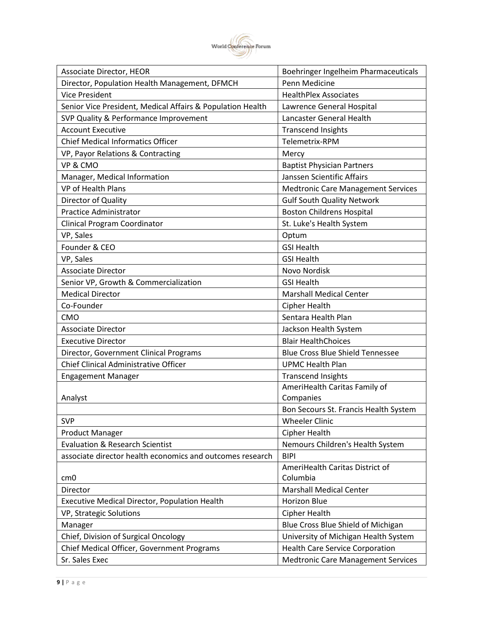

| Associate Director, HEOR                                   | Boehringer Ingelheim Pharmaceuticals      |
|------------------------------------------------------------|-------------------------------------------|
| Director, Population Health Management, DFMCH              | Penn Medicine                             |
| <b>Vice President</b>                                      | <b>HealthPlex Associates</b>              |
| Senior Vice President, Medical Affairs & Population Health | Lawrence General Hospital                 |
| SVP Quality & Performance Improvement                      | Lancaster General Health                  |
| <b>Account Executive</b>                                   | <b>Transcend Insights</b>                 |
| <b>Chief Medical Informatics Officer</b>                   | Telemetrix-RPM                            |
| VP, Payor Relations & Contracting                          | Mercy                                     |
| VP & CMO                                                   | <b>Baptist Physician Partners</b>         |
| Manager, Medical Information                               | Janssen Scientific Affairs                |
| VP of Health Plans                                         | <b>Medtronic Care Management Services</b> |
| Director of Quality                                        | <b>Gulf South Quality Network</b>         |
| <b>Practice Administrator</b>                              | <b>Boston Childrens Hospital</b>          |
| Clinical Program Coordinator                               | St. Luke's Health System                  |
| VP, Sales                                                  | Optum                                     |
| Founder & CEO                                              | <b>GSI Health</b>                         |
| VP, Sales                                                  | <b>GSI Health</b>                         |
| <b>Associate Director</b>                                  | Novo Nordisk                              |
| Senior VP, Growth & Commercialization                      | <b>GSI Health</b>                         |
| <b>Medical Director</b>                                    | <b>Marshall Medical Center</b>            |
| Co-Founder                                                 | <b>Cipher Health</b>                      |
| <b>CMO</b>                                                 | Sentara Health Plan                       |
| <b>Associate Director</b>                                  | Jackson Health System                     |
| <b>Executive Director</b>                                  | <b>Blair HealthChoices</b>                |
| Director, Government Clinical Programs                     | <b>Blue Cross Blue Shield Tennessee</b>   |
| Chief Clinical Administrative Officer                      | <b>UPMC Health Plan</b>                   |
| <b>Engagement Manager</b>                                  | <b>Transcend Insights</b>                 |
|                                                            | AmeriHealth Caritas Family of             |
| Analyst                                                    | Companies                                 |
|                                                            | Bon Secours St. Francis Health System     |
| <b>SVP</b>                                                 | <b>Wheeler Clinic</b>                     |
| <b>Product Manager</b>                                     | <b>Cipher Health</b>                      |
| <b>Evaluation &amp; Research Scientist</b>                 | Nemours Children's Health System          |
| associate director health economics and outcomes research  | <b>BIPI</b>                               |
|                                                            | AmeriHealth Caritas District of           |
| cm <sub>0</sub>                                            | Columbia                                  |
| Director                                                   | <b>Marshall Medical Center</b>            |
| Executive Medical Director, Population Health              | Horizon Blue                              |
| VP, Strategic Solutions                                    | Cipher Health                             |
| Manager                                                    | Blue Cross Blue Shield of Michigan        |
| Chief, Division of Surgical Oncology                       | University of Michigan Health System      |
| Chief Medical Officer, Government Programs                 | <b>Health Care Service Corporation</b>    |
| Sr. Sales Exec                                             | <b>Medtronic Care Management Services</b> |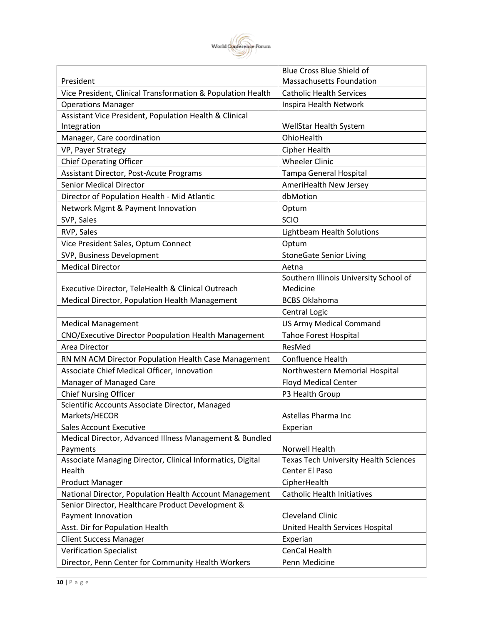

|                                                             | Blue Cross Blue Shield of                    |
|-------------------------------------------------------------|----------------------------------------------|
| President                                                   | <b>Massachusetts Foundation</b>              |
| Vice President, Clinical Transformation & Population Health | <b>Catholic Health Services</b>              |
| <b>Operations Manager</b>                                   | Inspira Health Network                       |
| Assistant Vice President, Population Health & Clinical      |                                              |
| Integration                                                 | WellStar Health System                       |
| Manager, Care coordination                                  | OhioHealth                                   |
| VP, Payer Strategy                                          | Cipher Health                                |
| <b>Chief Operating Officer</b>                              | <b>Wheeler Clinic</b>                        |
| Assistant Director, Post-Acute Programs                     | Tampa General Hospital                       |
| <b>Senior Medical Director</b>                              | AmeriHealth New Jersey                       |
| Director of Population Health - Mid Atlantic                | dbMotion                                     |
| Network Mgmt & Payment Innovation                           | Optum                                        |
| SVP, Sales                                                  | SCIO                                         |
| RVP, Sales                                                  | Lightbeam Health Solutions                   |
| Vice President Sales, Optum Connect                         | Optum                                        |
| SVP, Business Development                                   | <b>StoneGate Senior Living</b>               |
| <b>Medical Director</b>                                     | Aetna                                        |
|                                                             | Southern Illinois University School of       |
| Executive Director, TeleHealth & Clinical Outreach          | Medicine                                     |
| Medical Director, Population Health Management              | <b>BCBS Oklahoma</b>                         |
|                                                             | Central Logic                                |
| <b>Medical Management</b>                                   | <b>US Army Medical Command</b>               |
| CNO/Executive Director Poopulation Health Management        | <b>Tahoe Forest Hospital</b>                 |
| Area Director                                               | ResMed                                       |
| RN MN ACM Director Population Health Case Management        | <b>Confluence Health</b>                     |
| Associate Chief Medical Officer, Innovation                 | Northwestern Memorial Hospital               |
| Manager of Managed Care                                     | <b>Floyd Medical Center</b>                  |
| <b>Chief Nursing Officer</b>                                | P3 Health Group                              |
| Scientific Accounts Associate Director, Managed             |                                              |
| Markets/HECOR                                               | Astellas Pharma Inc                          |
| <b>Sales Account Executive</b>                              | Experian                                     |
| Medical Director, Advanced Illness Management & Bundled     |                                              |
| Payments                                                    | Norwell Health                               |
| Associate Managing Director, Clinical Informatics, Digital  | <b>Texas Tech University Health Sciences</b> |
| Health                                                      | Center El Paso                               |
| <b>Product Manager</b>                                      | CipherHealth                                 |
| National Director, Population Health Account Management     | <b>Catholic Health Initiatives</b>           |
| Senior Director, Healthcare Product Development &           |                                              |
| Payment Innovation                                          | <b>Cleveland Clinic</b>                      |
| Asst. Dir for Population Health                             | United Health Services Hospital              |
| <b>Client Success Manager</b>                               | Experian                                     |
| <b>Verification Specialist</b>                              | CenCal Health                                |
| Director, Penn Center for Community Health Workers          | Penn Medicine                                |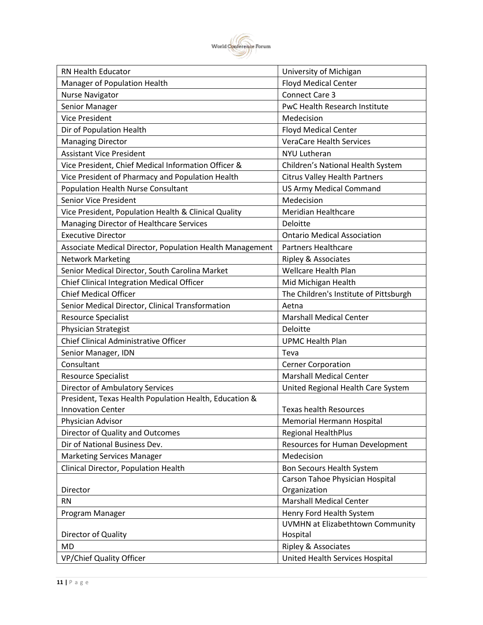

| RN Health Educator                                       | University of Michigan                 |
|----------------------------------------------------------|----------------------------------------|
| Manager of Population Health                             | <b>Floyd Medical Center</b>            |
| <b>Nurse Navigator</b>                                   | <b>Connect Care 3</b>                  |
| Senior Manager                                           | PwC Health Research Institute          |
| <b>Vice President</b>                                    | Medecision                             |
| Dir of Population Health                                 | <b>Floyd Medical Center</b>            |
| <b>Managing Director</b>                                 | <b>VeraCare Health Services</b>        |
| <b>Assistant Vice President</b>                          | <b>NYU Lutheran</b>                    |
| Vice President, Chief Medical Information Officer &      | Children's National Health System      |
| Vice President of Pharmacy and Population Health         | <b>Citrus Valley Health Partners</b>   |
| <b>Population Health Nurse Consultant</b>                | <b>US Army Medical Command</b>         |
| <b>Senior Vice President</b>                             | Medecision                             |
| Vice President, Population Health & Clinical Quality     | <b>Meridian Healthcare</b>             |
| Managing Director of Healthcare Services                 | Deloitte                               |
| <b>Executive Director</b>                                | <b>Ontario Medical Association</b>     |
| Associate Medical Director, Population Health Management | <b>Partners Healthcare</b>             |
| <b>Network Marketing</b>                                 | <b>Ripley &amp; Associates</b>         |
| Senior Medical Director, South Carolina Market           | <b>Wellcare Health Plan</b>            |
| <b>Chief Clinical Integration Medical Officer</b>        | Mid Michigan Health                    |
| <b>Chief Medical Officer</b>                             | The Children's Institute of Pittsburgh |
| Senior Medical Director, Clinical Transformation         | Aetna                                  |
| <b>Resource Specialist</b>                               | <b>Marshall Medical Center</b>         |
| Physician Strategist                                     | Deloitte                               |
| Chief Clinical Administrative Officer                    | <b>UPMC Health Plan</b>                |
| Senior Manager, IDN                                      | Teva                                   |
| Consultant                                               | <b>Cerner Corporation</b>              |
| <b>Resource Specialist</b>                               | <b>Marshall Medical Center</b>         |
| <b>Director of Ambulatory Services</b>                   | United Regional Health Care System     |
| President, Texas Health Population Health, Education &   |                                        |
| <b>Innovation Center</b>                                 | <b>Texas health Resources</b>          |
| Physician Advisor                                        | Memorial Hermann Hospital              |
| Director of Quality and Outcomes                         | <b>Regional HealthPlus</b>             |
| Dir of National Business Dev.                            | <b>Resources for Human Development</b> |
| <b>Marketing Services Manager</b>                        | Medecision                             |
| Clinical Director, Population Health                     | Bon Secours Health System              |
|                                                          | Carson Tahoe Physician Hospital        |
| Director                                                 | Organization                           |
| <b>RN</b>                                                | <b>Marshall Medical Center</b>         |
| Program Manager                                          | Henry Ford Health System               |
|                                                          | UVMHN at Elizabethtown Community       |
| Director of Quality                                      | Hospital                               |
| MD                                                       | <b>Ripley &amp; Associates</b>         |
| VP/Chief Quality Officer                                 | United Health Services Hospital        |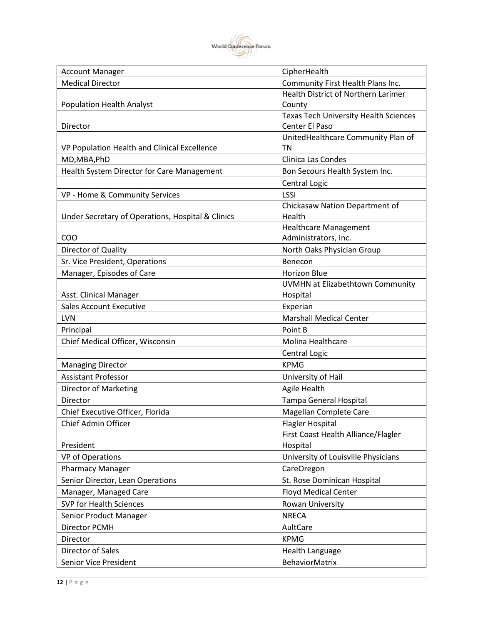

| <b>Account Manager</b>                            | CipherHealth                                 |
|---------------------------------------------------|----------------------------------------------|
| <b>Medical Director</b>                           | Community First Health Plans Inc.            |
|                                                   | Health District of Northern Larimer          |
| <b>Population Health Analyst</b>                  | County                                       |
|                                                   | <b>Texas Tech University Health Sciences</b> |
| Director                                          | Center El Paso                               |
|                                                   | UnitedHealthcare Community Plan of           |
| VP Population Health and Clinical Excellence      | ΤN                                           |
| MD, MBA, PhD                                      | Clinica Las Condes                           |
| Health System Director for Care Management        | Bon Secours Health System Inc.               |
|                                                   | Central Logic                                |
| VP - Home & Community Services                    | <b>LSSI</b>                                  |
|                                                   | Chickasaw Nation Department of               |
| Under Secretary of Operations, Hospital & Clinics | Health                                       |
|                                                   | <b>Healthcare Management</b>                 |
| C <sub>O</sub> O                                  | Administrators, Inc.                         |
| Director of Quality                               | North Oaks Physician Group                   |
| Sr. Vice President, Operations                    | Benecon                                      |
| Manager, Episodes of Care                         | <b>Horizon Blue</b>                          |
|                                                   | UVMHN at Elizabethtown Community             |
| Asst. Clinical Manager                            | Hospital                                     |
| <b>Sales Account Executive</b>                    | Experian                                     |
| LVN                                               | <b>Marshall Medical Center</b>               |
| Principal                                         | Point B                                      |
| Chief Medical Officer, Wisconsin                  | Molina Healthcare                            |
|                                                   | Central Logic                                |
| <b>Managing Director</b>                          | <b>KPMG</b>                                  |
| <b>Assistant Professor</b>                        | University of Hail                           |
| Director of Marketing                             | Agile Health                                 |
| Director                                          | Tampa General Hospital                       |
| Chief Executive Officer, Florida                  | Magellan Complete Care                       |
| Chief Admin Officer                               | <b>Flagler Hospital</b>                      |
|                                                   | First Coast Health Alliance/Flagler          |
| President                                         | Hospital                                     |
| VP of Operations                                  | University of Louisville Physicians          |
| <b>Pharmacy Manager</b>                           | CareOregon                                   |
| Senior Director, Lean Operations                  | St. Rose Dominican Hospital                  |
| Manager, Managed Care                             | <b>Floyd Medical Center</b>                  |
| <b>SVP for Health Sciences</b>                    | Rowan University                             |
| Senior Product Manager                            | <b>NRECA</b>                                 |
| Director PCMH                                     | AultCare                                     |
| Director                                          | <b>KPMG</b>                                  |
| Director of Sales                                 | <b>Health Language</b>                       |
| Senior Vice President                             | <b>BehaviorMatrix</b>                        |
|                                                   |                                              |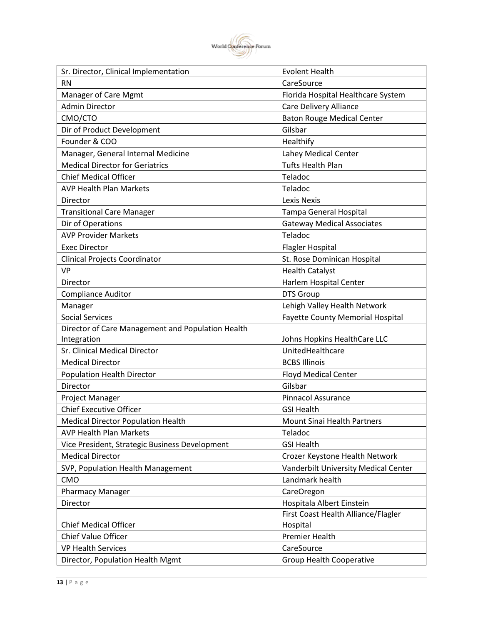

| Sr. Director, Clinical Implementation             | <b>Evolent Health</b>                   |
|---------------------------------------------------|-----------------------------------------|
| <b>RN</b>                                         | CareSource                              |
| Manager of Care Mgmt                              | Florida Hospital Healthcare System      |
| <b>Admin Director</b>                             | <b>Care Delivery Alliance</b>           |
| CMO/CTO                                           | <b>Baton Rouge Medical Center</b>       |
| Dir of Product Development                        | Gilsbar                                 |
| Founder & COO                                     | Healthify                               |
| Manager, General Internal Medicine                | Lahey Medical Center                    |
| <b>Medical Director for Geriatrics</b>            | <b>Tufts Health Plan</b>                |
| <b>Chief Medical Officer</b>                      | Teladoc                                 |
| <b>AVP Health Plan Markets</b>                    | Teladoc                                 |
| Director                                          | <b>Lexis Nexis</b>                      |
| <b>Transitional Care Manager</b>                  | Tampa General Hospital                  |
| Dir of Operations                                 | <b>Gateway Medical Associates</b>       |
| <b>AVP Provider Markets</b>                       | Teladoc                                 |
| <b>Exec Director</b>                              | <b>Flagler Hospital</b>                 |
| Clinical Projects Coordinator                     | St. Rose Dominican Hospital             |
| <b>VP</b>                                         | <b>Health Catalyst</b>                  |
| Director                                          | Harlem Hospital Center                  |
| <b>Compliance Auditor</b>                         | <b>DTS Group</b>                        |
| Manager                                           | Lehigh Valley Health Network            |
| <b>Social Services</b>                            | <b>Fayette County Memorial Hospital</b> |
| Director of Care Management and Population Health |                                         |
| Integration                                       | Johns Hopkins HealthCare LLC            |
| Sr. Clinical Medical Director                     | UnitedHealthcare                        |
| <b>Medical Director</b>                           | <b>BCBS Illinois</b>                    |
| <b>Population Health Director</b>                 | <b>Floyd Medical Center</b>             |
| Director                                          | Gilsbar                                 |
| Project Manager                                   | <b>Pinnacol Assurance</b>               |
| <b>Chief Executive Officer</b>                    | <b>GSI Health</b>                       |
| <b>Medical Director Population Health</b>         | Mount Sinai Health Partners             |
| <b>AVP Health Plan Markets</b>                    | Teladoc                                 |
| Vice President, Strategic Business Development    | <b>GSI Health</b>                       |
| <b>Medical Director</b>                           | Crozer Keystone Health Network          |
| SVP, Population Health Management                 | Vanderbilt University Medical Center    |
| CMO                                               | Landmark health                         |
| <b>Pharmacy Manager</b>                           | CareOregon                              |
| Director                                          | Hospitala Albert Einstein               |
|                                                   | First Coast Health Alliance/Flagler     |
| <b>Chief Medical Officer</b>                      | Hospital                                |
| Chief Value Officer                               | <b>Premier Health</b>                   |
| <b>VP Health Services</b>                         | CareSource                              |
| Director, Population Health Mgmt                  | <b>Group Health Cooperative</b>         |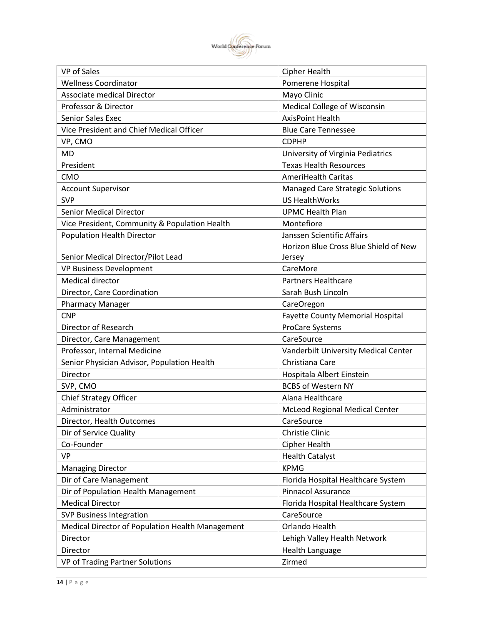

| Pomerene Hospital<br><b>Wellness Coordinator</b><br><b>Associate medical Director</b><br>Mayo Clinic<br>Professor & Director<br>Medical College of Wisconsin<br><b>Senior Sales Exec</b><br><b>AxisPoint Health</b><br>Vice President and Chief Medical Officer<br><b>Blue Care Tennessee</b><br>VP, CMO<br><b>CDPHP</b><br><b>MD</b><br>University of Virginia Pediatrics<br>President<br><b>Texas Health Resources</b><br><b>AmeriHealth Caritas</b><br><b>CMO</b><br><b>Account Supervisor</b><br>Managed Care Strategic Solutions<br><b>SVP</b><br><b>US HealthWorks</b><br><b>Senior Medical Director</b><br><b>UPMC Health Plan</b><br>Montefiore<br>Vice President, Community & Population Health<br><b>Population Health Director</b><br>Janssen Scientific Affairs<br>Horizon Blue Cross Blue Shield of New<br>Senior Medical Director/Pilot Lead<br>Jersey<br><b>VP Business Development</b><br>CareMore<br><b>Medical director</b><br><b>Partners Healthcare</b><br>Director, Care Coordination<br>Sarah Bush Lincoln<br><b>Pharmacy Manager</b><br>CareOregon<br><b>CNP</b><br><b>Fayette County Memorial Hospital</b><br>Director of Research<br>ProCare Systems<br>Director, Care Management<br>CareSource<br>Professor, Internal Medicine<br>Vanderbilt University Medical Center<br>Senior Physician Advisor, Population Health<br>Christiana Care<br>Director<br>Hospitala Albert Einstein<br><b>BCBS of Western NY</b><br>SVP, CMO<br>Chief Strategy Officer<br>Alana Healthcare<br>Administrator<br>McLeod Regional Medical Center<br>CareSource<br>Director, Health Outcomes<br>Dir of Service Quality<br>Christie Clinic<br>Co-Founder<br>Cipher Health<br><b>VP</b><br><b>Health Catalyst</b><br><b>KPMG</b><br><b>Managing Director</b><br>Dir of Care Management<br>Florida Hospital Healthcare System<br>Dir of Population Health Management<br><b>Pinnacol Assurance</b><br><b>Medical Director</b><br>Florida Hospital Healthcare System<br><b>SVP Business Integration</b><br>CareSource<br>Orlando Health<br>Medical Director of Population Health Management | <b>VP</b> of Sales | Cipher Health                |
|--------------------------------------------------------------------------------------------------------------------------------------------------------------------------------------------------------------------------------------------------------------------------------------------------------------------------------------------------------------------------------------------------------------------------------------------------------------------------------------------------------------------------------------------------------------------------------------------------------------------------------------------------------------------------------------------------------------------------------------------------------------------------------------------------------------------------------------------------------------------------------------------------------------------------------------------------------------------------------------------------------------------------------------------------------------------------------------------------------------------------------------------------------------------------------------------------------------------------------------------------------------------------------------------------------------------------------------------------------------------------------------------------------------------------------------------------------------------------------------------------------------------------------------------------------------------------------------------------------------------------------------------------------------------------------------------------------------------------------------------------------------------------------------------------------------------------------------------------------------------------------------------------------------------------------------------------------------------------------------------------------------------------------------------------------------------------------------------|--------------------|------------------------------|
|                                                                                                                                                                                                                                                                                                                                                                                                                                                                                                                                                                                                                                                                                                                                                                                                                                                                                                                                                                                                                                                                                                                                                                                                                                                                                                                                                                                                                                                                                                                                                                                                                                                                                                                                                                                                                                                                                                                                                                                                                                                                                            |                    |                              |
|                                                                                                                                                                                                                                                                                                                                                                                                                                                                                                                                                                                                                                                                                                                                                                                                                                                                                                                                                                                                                                                                                                                                                                                                                                                                                                                                                                                                                                                                                                                                                                                                                                                                                                                                                                                                                                                                                                                                                                                                                                                                                            |                    |                              |
|                                                                                                                                                                                                                                                                                                                                                                                                                                                                                                                                                                                                                                                                                                                                                                                                                                                                                                                                                                                                                                                                                                                                                                                                                                                                                                                                                                                                                                                                                                                                                                                                                                                                                                                                                                                                                                                                                                                                                                                                                                                                                            |                    |                              |
|                                                                                                                                                                                                                                                                                                                                                                                                                                                                                                                                                                                                                                                                                                                                                                                                                                                                                                                                                                                                                                                                                                                                                                                                                                                                                                                                                                                                                                                                                                                                                                                                                                                                                                                                                                                                                                                                                                                                                                                                                                                                                            |                    |                              |
|                                                                                                                                                                                                                                                                                                                                                                                                                                                                                                                                                                                                                                                                                                                                                                                                                                                                                                                                                                                                                                                                                                                                                                                                                                                                                                                                                                                                                                                                                                                                                                                                                                                                                                                                                                                                                                                                                                                                                                                                                                                                                            |                    |                              |
|                                                                                                                                                                                                                                                                                                                                                                                                                                                                                                                                                                                                                                                                                                                                                                                                                                                                                                                                                                                                                                                                                                                                                                                                                                                                                                                                                                                                                                                                                                                                                                                                                                                                                                                                                                                                                                                                                                                                                                                                                                                                                            |                    |                              |
|                                                                                                                                                                                                                                                                                                                                                                                                                                                                                                                                                                                                                                                                                                                                                                                                                                                                                                                                                                                                                                                                                                                                                                                                                                                                                                                                                                                                                                                                                                                                                                                                                                                                                                                                                                                                                                                                                                                                                                                                                                                                                            |                    |                              |
|                                                                                                                                                                                                                                                                                                                                                                                                                                                                                                                                                                                                                                                                                                                                                                                                                                                                                                                                                                                                                                                                                                                                                                                                                                                                                                                                                                                                                                                                                                                                                                                                                                                                                                                                                                                                                                                                                                                                                                                                                                                                                            |                    |                              |
|                                                                                                                                                                                                                                                                                                                                                                                                                                                                                                                                                                                                                                                                                                                                                                                                                                                                                                                                                                                                                                                                                                                                                                                                                                                                                                                                                                                                                                                                                                                                                                                                                                                                                                                                                                                                                                                                                                                                                                                                                                                                                            |                    |                              |
|                                                                                                                                                                                                                                                                                                                                                                                                                                                                                                                                                                                                                                                                                                                                                                                                                                                                                                                                                                                                                                                                                                                                                                                                                                                                                                                                                                                                                                                                                                                                                                                                                                                                                                                                                                                                                                                                                                                                                                                                                                                                                            |                    |                              |
|                                                                                                                                                                                                                                                                                                                                                                                                                                                                                                                                                                                                                                                                                                                                                                                                                                                                                                                                                                                                                                                                                                                                                                                                                                                                                                                                                                                                                                                                                                                                                                                                                                                                                                                                                                                                                                                                                                                                                                                                                                                                                            |                    |                              |
|                                                                                                                                                                                                                                                                                                                                                                                                                                                                                                                                                                                                                                                                                                                                                                                                                                                                                                                                                                                                                                                                                                                                                                                                                                                                                                                                                                                                                                                                                                                                                                                                                                                                                                                                                                                                                                                                                                                                                                                                                                                                                            |                    |                              |
|                                                                                                                                                                                                                                                                                                                                                                                                                                                                                                                                                                                                                                                                                                                                                                                                                                                                                                                                                                                                                                                                                                                                                                                                                                                                                                                                                                                                                                                                                                                                                                                                                                                                                                                                                                                                                                                                                                                                                                                                                                                                                            |                    |                              |
|                                                                                                                                                                                                                                                                                                                                                                                                                                                                                                                                                                                                                                                                                                                                                                                                                                                                                                                                                                                                                                                                                                                                                                                                                                                                                                                                                                                                                                                                                                                                                                                                                                                                                                                                                                                                                                                                                                                                                                                                                                                                                            |                    |                              |
|                                                                                                                                                                                                                                                                                                                                                                                                                                                                                                                                                                                                                                                                                                                                                                                                                                                                                                                                                                                                                                                                                                                                                                                                                                                                                                                                                                                                                                                                                                                                                                                                                                                                                                                                                                                                                                                                                                                                                                                                                                                                                            |                    |                              |
|                                                                                                                                                                                                                                                                                                                                                                                                                                                                                                                                                                                                                                                                                                                                                                                                                                                                                                                                                                                                                                                                                                                                                                                                                                                                                                                                                                                                                                                                                                                                                                                                                                                                                                                                                                                                                                                                                                                                                                                                                                                                                            |                    |                              |
|                                                                                                                                                                                                                                                                                                                                                                                                                                                                                                                                                                                                                                                                                                                                                                                                                                                                                                                                                                                                                                                                                                                                                                                                                                                                                                                                                                                                                                                                                                                                                                                                                                                                                                                                                                                                                                                                                                                                                                                                                                                                                            |                    |                              |
|                                                                                                                                                                                                                                                                                                                                                                                                                                                                                                                                                                                                                                                                                                                                                                                                                                                                                                                                                                                                                                                                                                                                                                                                                                                                                                                                                                                                                                                                                                                                                                                                                                                                                                                                                                                                                                                                                                                                                                                                                                                                                            |                    |                              |
|                                                                                                                                                                                                                                                                                                                                                                                                                                                                                                                                                                                                                                                                                                                                                                                                                                                                                                                                                                                                                                                                                                                                                                                                                                                                                                                                                                                                                                                                                                                                                                                                                                                                                                                                                                                                                                                                                                                                                                                                                                                                                            |                    |                              |
|                                                                                                                                                                                                                                                                                                                                                                                                                                                                                                                                                                                                                                                                                                                                                                                                                                                                                                                                                                                                                                                                                                                                                                                                                                                                                                                                                                                                                                                                                                                                                                                                                                                                                                                                                                                                                                                                                                                                                                                                                                                                                            |                    |                              |
|                                                                                                                                                                                                                                                                                                                                                                                                                                                                                                                                                                                                                                                                                                                                                                                                                                                                                                                                                                                                                                                                                                                                                                                                                                                                                                                                                                                                                                                                                                                                                                                                                                                                                                                                                                                                                                                                                                                                                                                                                                                                                            |                    |                              |
|                                                                                                                                                                                                                                                                                                                                                                                                                                                                                                                                                                                                                                                                                                                                                                                                                                                                                                                                                                                                                                                                                                                                                                                                                                                                                                                                                                                                                                                                                                                                                                                                                                                                                                                                                                                                                                                                                                                                                                                                                                                                                            |                    |                              |
|                                                                                                                                                                                                                                                                                                                                                                                                                                                                                                                                                                                                                                                                                                                                                                                                                                                                                                                                                                                                                                                                                                                                                                                                                                                                                                                                                                                                                                                                                                                                                                                                                                                                                                                                                                                                                                                                                                                                                                                                                                                                                            |                    |                              |
|                                                                                                                                                                                                                                                                                                                                                                                                                                                                                                                                                                                                                                                                                                                                                                                                                                                                                                                                                                                                                                                                                                                                                                                                                                                                                                                                                                                                                                                                                                                                                                                                                                                                                                                                                                                                                                                                                                                                                                                                                                                                                            |                    |                              |
|                                                                                                                                                                                                                                                                                                                                                                                                                                                                                                                                                                                                                                                                                                                                                                                                                                                                                                                                                                                                                                                                                                                                                                                                                                                                                                                                                                                                                                                                                                                                                                                                                                                                                                                                                                                                                                                                                                                                                                                                                                                                                            |                    |                              |
|                                                                                                                                                                                                                                                                                                                                                                                                                                                                                                                                                                                                                                                                                                                                                                                                                                                                                                                                                                                                                                                                                                                                                                                                                                                                                                                                                                                                                                                                                                                                                                                                                                                                                                                                                                                                                                                                                                                                                                                                                                                                                            |                    |                              |
|                                                                                                                                                                                                                                                                                                                                                                                                                                                                                                                                                                                                                                                                                                                                                                                                                                                                                                                                                                                                                                                                                                                                                                                                                                                                                                                                                                                                                                                                                                                                                                                                                                                                                                                                                                                                                                                                                                                                                                                                                                                                                            |                    |                              |
|                                                                                                                                                                                                                                                                                                                                                                                                                                                                                                                                                                                                                                                                                                                                                                                                                                                                                                                                                                                                                                                                                                                                                                                                                                                                                                                                                                                                                                                                                                                                                                                                                                                                                                                                                                                                                                                                                                                                                                                                                                                                                            |                    |                              |
|                                                                                                                                                                                                                                                                                                                                                                                                                                                                                                                                                                                                                                                                                                                                                                                                                                                                                                                                                                                                                                                                                                                                                                                                                                                                                                                                                                                                                                                                                                                                                                                                                                                                                                                                                                                                                                                                                                                                                                                                                                                                                            |                    |                              |
|                                                                                                                                                                                                                                                                                                                                                                                                                                                                                                                                                                                                                                                                                                                                                                                                                                                                                                                                                                                                                                                                                                                                                                                                                                                                                                                                                                                                                                                                                                                                                                                                                                                                                                                                                                                                                                                                                                                                                                                                                                                                                            |                    |                              |
|                                                                                                                                                                                                                                                                                                                                                                                                                                                                                                                                                                                                                                                                                                                                                                                                                                                                                                                                                                                                                                                                                                                                                                                                                                                                                                                                                                                                                                                                                                                                                                                                                                                                                                                                                                                                                                                                                                                                                                                                                                                                                            |                    |                              |
|                                                                                                                                                                                                                                                                                                                                                                                                                                                                                                                                                                                                                                                                                                                                                                                                                                                                                                                                                                                                                                                                                                                                                                                                                                                                                                                                                                                                                                                                                                                                                                                                                                                                                                                                                                                                                                                                                                                                                                                                                                                                                            |                    |                              |
|                                                                                                                                                                                                                                                                                                                                                                                                                                                                                                                                                                                                                                                                                                                                                                                                                                                                                                                                                                                                                                                                                                                                                                                                                                                                                                                                                                                                                                                                                                                                                                                                                                                                                                                                                                                                                                                                                                                                                                                                                                                                                            |                    |                              |
|                                                                                                                                                                                                                                                                                                                                                                                                                                                                                                                                                                                                                                                                                                                                                                                                                                                                                                                                                                                                                                                                                                                                                                                                                                                                                                                                                                                                                                                                                                                                                                                                                                                                                                                                                                                                                                                                                                                                                                                                                                                                                            |                    |                              |
|                                                                                                                                                                                                                                                                                                                                                                                                                                                                                                                                                                                                                                                                                                                                                                                                                                                                                                                                                                                                                                                                                                                                                                                                                                                                                                                                                                                                                                                                                                                                                                                                                                                                                                                                                                                                                                                                                                                                                                                                                                                                                            |                    |                              |
|                                                                                                                                                                                                                                                                                                                                                                                                                                                                                                                                                                                                                                                                                                                                                                                                                                                                                                                                                                                                                                                                                                                                                                                                                                                                                                                                                                                                                                                                                                                                                                                                                                                                                                                                                                                                                                                                                                                                                                                                                                                                                            |                    |                              |
|                                                                                                                                                                                                                                                                                                                                                                                                                                                                                                                                                                                                                                                                                                                                                                                                                                                                                                                                                                                                                                                                                                                                                                                                                                                                                                                                                                                                                                                                                                                                                                                                                                                                                                                                                                                                                                                                                                                                                                                                                                                                                            |                    |                              |
|                                                                                                                                                                                                                                                                                                                                                                                                                                                                                                                                                                                                                                                                                                                                                                                                                                                                                                                                                                                                                                                                                                                                                                                                                                                                                                                                                                                                                                                                                                                                                                                                                                                                                                                                                                                                                                                                                                                                                                                                                                                                                            |                    |                              |
|                                                                                                                                                                                                                                                                                                                                                                                                                                                                                                                                                                                                                                                                                                                                                                                                                                                                                                                                                                                                                                                                                                                                                                                                                                                                                                                                                                                                                                                                                                                                                                                                                                                                                                                                                                                                                                                                                                                                                                                                                                                                                            |                    |                              |
|                                                                                                                                                                                                                                                                                                                                                                                                                                                                                                                                                                                                                                                                                                                                                                                                                                                                                                                                                                                                                                                                                                                                                                                                                                                                                                                                                                                                                                                                                                                                                                                                                                                                                                                                                                                                                                                                                                                                                                                                                                                                                            | Director           | Lehigh Valley Health Network |
| <b>Health Language</b><br>Director                                                                                                                                                                                                                                                                                                                                                                                                                                                                                                                                                                                                                                                                                                                                                                                                                                                                                                                                                                                                                                                                                                                                                                                                                                                                                                                                                                                                                                                                                                                                                                                                                                                                                                                                                                                                                                                                                                                                                                                                                                                         |                    |                              |
| VP of Trading Partner Solutions<br>Zirmed                                                                                                                                                                                                                                                                                                                                                                                                                                                                                                                                                                                                                                                                                                                                                                                                                                                                                                                                                                                                                                                                                                                                                                                                                                                                                                                                                                                                                                                                                                                                                                                                                                                                                                                                                                                                                                                                                                                                                                                                                                                  |                    |                              |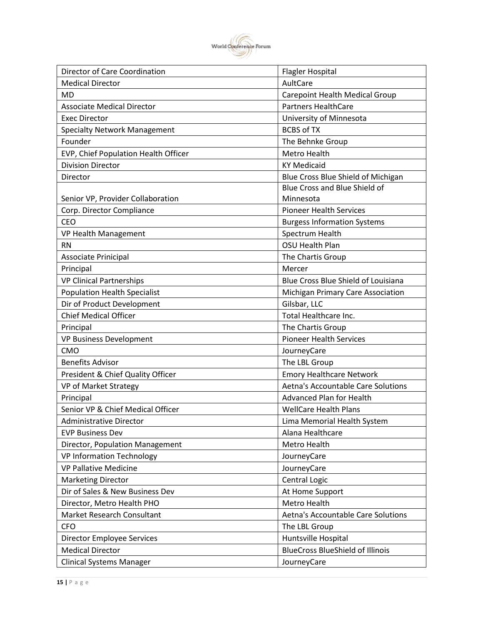

| Director of Care Coordination        | <b>Flagler Hospital</b>                 |
|--------------------------------------|-----------------------------------------|
| <b>Medical Director</b>              | AultCare                                |
| <b>MD</b>                            | Carepoint Health Medical Group          |
| <b>Associate Medical Director</b>    | <b>Partners HealthCare</b>              |
| <b>Exec Director</b>                 | University of Minnesota                 |
| <b>Specialty Network Management</b>  | <b>BCBS of TX</b>                       |
| Founder                              | The Behnke Group                        |
| EVP, Chief Population Health Officer | <b>Metro Health</b>                     |
| <b>Division Director</b>             | <b>KY Medicaid</b>                      |
| Director                             | Blue Cross Blue Shield of Michigan      |
|                                      | Blue Cross and Blue Shield of           |
| Senior VP, Provider Collaboration    | Minnesota                               |
| Corp. Director Compliance            | <b>Pioneer Health Services</b>          |
| <b>CEO</b>                           | <b>Burgess Information Systems</b>      |
| VP Health Management                 | Spectrum Health                         |
| <b>RN</b>                            | OSU Health Plan                         |
| <b>Associate Prinicipal</b>          | The Chartis Group                       |
| Principal                            | Mercer                                  |
| <b>VP Clinical Partnerships</b>      | Blue Cross Blue Shield of Louisiana     |
| <b>Population Health Specialist</b>  | Michigan Primary Care Association       |
| Dir of Product Development           | Gilsbar, LLC                            |
| <b>Chief Medical Officer</b>         | Total Healthcare Inc.                   |
| Principal                            | The Chartis Group                       |
| <b>VP Business Development</b>       | <b>Pioneer Health Services</b>          |
| CMO                                  | JourneyCare                             |
| <b>Benefits Advisor</b>              | The LBL Group                           |
| President & Chief Quality Officer    | <b>Emory Healthcare Network</b>         |
| VP of Market Strategy                | Aetna's Accountable Care Solutions      |
| Principal                            | Advanced Plan for Health                |
| Senior VP & Chief Medical Officer    | <b>WellCare Health Plans</b>            |
| <b>Administrative Director</b>       | Lima Memorial Health System             |
| <b>EVP Business Dev</b>              | Alana Healthcare                        |
| Director, Population Management      | Metro Health                            |
| <b>VP Information Technology</b>     | JourneyCare                             |
| <b>VP Pallative Medicine</b>         | JourneyCare                             |
| <b>Marketing Director</b>            | Central Logic                           |
| Dir of Sales & New Business Dev      | At Home Support                         |
| Director, Metro Health PHO           | Metro Health                            |
| Market Research Consultant           | Aetna's Accountable Care Solutions      |
| <b>CFO</b>                           | The LBL Group                           |
| Director Employee Services           | Huntsville Hospital                     |
| <b>Medical Director</b>              | <b>BlueCross BlueShield of Illinois</b> |
| <b>Clinical Systems Manager</b>      | JourneyCare                             |
|                                      |                                         |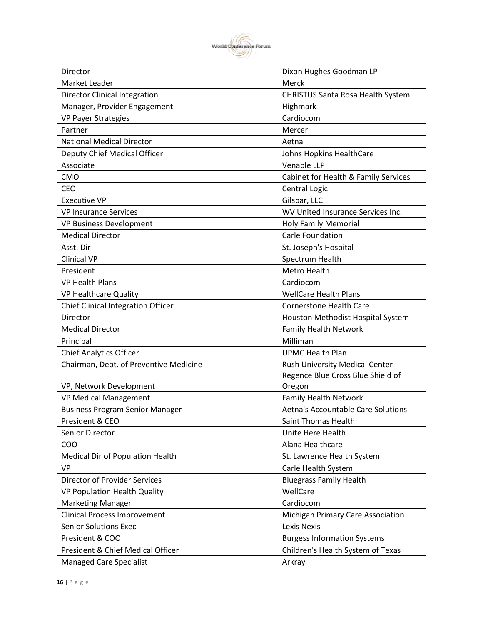

| Director                                  | Dixon Hughes Goodman LP              |
|-------------------------------------------|--------------------------------------|
| Market Leader                             | Merck                                |
| <b>Director Clinical Integration</b>      | CHRISTUS Santa Rosa Health System    |
| Manager, Provider Engagement              | Highmark                             |
| <b>VP Payer Strategies</b>                | Cardiocom                            |
| Partner                                   | Mercer                               |
| <b>National Medical Director</b>          | Aetna                                |
| Deputy Chief Medical Officer              | Johns Hopkins HealthCare             |
| Associate                                 | Venable LLP                          |
| CMO                                       | Cabinet for Health & Family Services |
| <b>CEO</b>                                | Central Logic                        |
| <b>Executive VP</b>                       | Gilsbar, LLC                         |
| <b>VP Insurance Services</b>              | WV United Insurance Services Inc.    |
| <b>VP Business Development</b>            | <b>Holy Family Memorial</b>          |
| <b>Medical Director</b>                   | Carle Foundation                     |
| Asst. Dir                                 | St. Joseph's Hospital                |
| <b>Clinical VP</b>                        | Spectrum Health                      |
| President                                 | <b>Metro Health</b>                  |
| <b>VP Health Plans</b>                    | Cardiocom                            |
| VP Healthcare Quality                     | <b>WellCare Health Plans</b>         |
| <b>Chief Clinical Integration Officer</b> | <b>Cornerstone Health Care</b>       |
| Director                                  | Houston Methodist Hospital System    |
| <b>Medical Director</b>                   | Family Health Network                |
| Principal                                 | Milliman                             |
| <b>Chief Analytics Officer</b>            | <b>UPMC Health Plan</b>              |
| Chairman, Dept. of Preventive Medicine    | Rush University Medical Center       |
|                                           | Regence Blue Cross Blue Shield of    |
| VP, Network Development                   | Oregon                               |
| <b>VP Medical Management</b>              | <b>Family Health Network</b>         |
| <b>Business Program Senior Manager</b>    | Aetna's Accountable Care Solutions   |
| President & CEO                           | Saint Thomas Health                  |
| Senior Director                           | Unite Here Health                    |
| COO                                       | Alana Healthcare                     |
| Medical Dir of Population Health          | St. Lawrence Health System           |
| <b>VP</b>                                 | Carle Health System                  |
| <b>Director of Provider Services</b>      | <b>Bluegrass Family Health</b>       |
| VP Population Health Quality              | WellCare                             |
| <b>Marketing Manager</b>                  | Cardiocom                            |
| <b>Clinical Process Improvement</b>       | Michigan Primary Care Association    |
| <b>Senior Solutions Exec</b>              | <b>Lexis Nexis</b>                   |
| President & COO                           | <b>Burgess Information Systems</b>   |
| President & Chief Medical Officer         | Children's Health System of Texas    |
| <b>Managed Care Specialist</b>            | Arkray                               |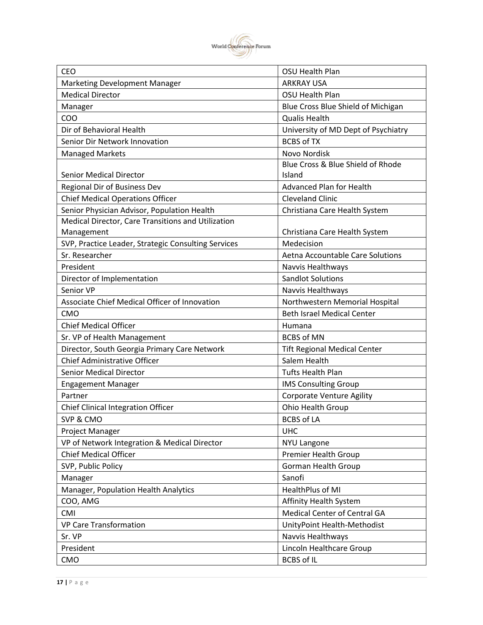

| <b>CEO</b>                                          | OSU Health Plan                     |
|-----------------------------------------------------|-------------------------------------|
| Marketing Development Manager                       | <b>ARKRAY USA</b>                   |
| <b>Medical Director</b>                             | OSU Health Plan                     |
| Manager                                             | Blue Cross Blue Shield of Michigan  |
| COO                                                 | <b>Qualis Health</b>                |
| Dir of Behavioral Health                            | University of MD Dept of Psychiatry |
| Senior Dir Network Innovation                       | <b>BCBS of TX</b>                   |
| <b>Managed Markets</b>                              | Novo Nordisk                        |
|                                                     | Blue Cross & Blue Shield of Rhode   |
| <b>Senior Medical Director</b>                      | Island                              |
| Regional Dir of Business Dev                        | <b>Advanced Plan for Health</b>     |
| <b>Chief Medical Operations Officer</b>             | <b>Cleveland Clinic</b>             |
| Senior Physician Advisor, Population Health         | Christiana Care Health System       |
| Medical Director, Care Transitions and Utilization  |                                     |
| Management                                          | Christiana Care Health System       |
| SVP, Practice Leader, Strategic Consulting Services | Medecision                          |
| Sr. Researcher                                      | Aetna Accountable Care Solutions    |
| President                                           | Navvis Healthways                   |
| Director of Implementation                          | <b>Sandlot Solutions</b>            |
| Senior VP                                           | Navvis Healthways                   |
| Associate Chief Medical Officer of Innovation       | Northwestern Memorial Hospital      |
| <b>CMO</b>                                          | <b>Beth Israel Medical Center</b>   |
| <b>Chief Medical Officer</b>                        | Humana                              |
| Sr. VP of Health Management                         | <b>BCBS of MN</b>                   |
| Director, South Georgia Primary Care Network        | <b>Tift Regional Medical Center</b> |
| Chief Administrative Officer                        | Salem Health                        |
| <b>Senior Medical Director</b>                      | <b>Tufts Health Plan</b>            |
| <b>Engagement Manager</b>                           | <b>IMS Consulting Group</b>         |
| Partner                                             | <b>Corporate Venture Agility</b>    |
| <b>Chief Clinical Integration Officer</b>           | Ohio Health Group                   |
| SVP & CMO                                           | <b>BCBS of LA</b>                   |
| Project Manager                                     | <b>UHC</b>                          |
| VP of Network Integration & Medical Director        | <b>NYU Langone</b>                  |
| <b>Chief Medical Officer</b>                        | Premier Health Group                |
| SVP, Public Policy                                  | <b>Gorman Health Group</b>          |
| Manager                                             | Sanofi                              |
| Manager, Population Health Analytics                | HealthPlus of MI                    |
| COO, AMG                                            | Affinity Health System              |
| <b>CMI</b>                                          | Medical Center of Central GA        |
| <b>VP Care Transformation</b>                       | UnityPoint Health-Methodist         |
| Sr. VP                                              | Navvis Healthways                   |
| President                                           | Lincoln Healthcare Group            |
| CMO                                                 | <b>BCBS of IL</b>                   |
|                                                     |                                     |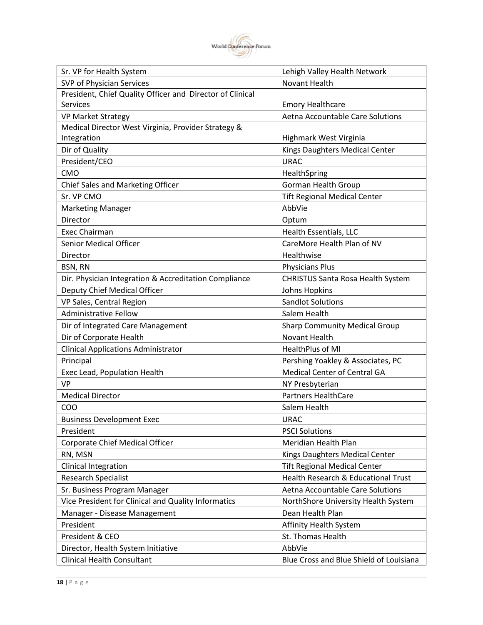

| SVP of Physician Services<br>Novant Health<br>President, Chief Quality Officer and Director of Clinical<br><b>Services</b><br><b>Emory Healthcare</b><br>Aetna Accountable Care Solutions<br><b>VP Market Strategy</b><br>Medical Director West Virginia, Provider Strategy &<br>Integration<br>Highmark West Virginia<br>Dir of Quality<br>Kings Daughters Medical Center<br>President/CEO<br><b>URAC</b><br>CMO<br>HealthSpring<br><b>Gorman Health Group</b><br>Chief Sales and Marketing Officer<br>Sr. VP CMO<br><b>Tift Regional Medical Center</b><br>AbbVie<br><b>Marketing Manager</b><br>Director<br>Optum<br>Health Essentials, LLC<br><b>Exec Chairman</b><br><b>Senior Medical Officer</b><br>CareMore Health Plan of NV<br>Healthwise<br>Director<br>BSN, RN<br><b>Physicians Plus</b><br>Dir. Physician Integration & Accreditation Compliance<br><b>CHRISTUS Santa Rosa Health System</b><br>Deputy Chief Medical Officer<br>Johns Hopkins<br>VP Sales, Central Region<br><b>Sandlot Solutions</b><br><b>Administrative Fellow</b><br>Salem Health<br>Dir of Integrated Care Management<br><b>Sharp Community Medical Group</b><br>Dir of Corporate Health<br>Novant Health<br><b>Clinical Applications Administrator</b><br>HealthPlus of MI<br>Principal<br>Pershing Yoakley & Associates, PC<br>Medical Center of Central GA<br>Exec Lead, Population Health<br><b>VP</b><br>NY Presbyterian<br><b>Partners HealthCare</b><br><b>Medical Director</b><br>COO<br>Salem Health<br><b>Business Development Exec</b><br><b>URAC</b><br><b>PSCI Solutions</b><br>President<br>Corporate Chief Medical Officer<br>Meridian Health Plan<br>RN, MSN<br>Kings Daughters Medical Center<br><b>Tift Regional Medical Center</b><br>Clinical Integration<br>Health Research & Educational Trust<br><b>Research Specialist</b><br>Sr. Business Program Manager<br>Aetna Accountable Care Solutions<br>Vice President for Clinical and Quality Informatics<br>NorthShore University Health System<br>Dean Health Plan<br>Manager - Disease Management<br>President<br>Affinity Health System<br>President & CEO<br>St. Thomas Health<br>Director, Health System Initiative<br>AbbVie | Sr. VP for Health System          | Lehigh Valley Health Network            |
|-------------------------------------------------------------------------------------------------------------------------------------------------------------------------------------------------------------------------------------------------------------------------------------------------------------------------------------------------------------------------------------------------------------------------------------------------------------------------------------------------------------------------------------------------------------------------------------------------------------------------------------------------------------------------------------------------------------------------------------------------------------------------------------------------------------------------------------------------------------------------------------------------------------------------------------------------------------------------------------------------------------------------------------------------------------------------------------------------------------------------------------------------------------------------------------------------------------------------------------------------------------------------------------------------------------------------------------------------------------------------------------------------------------------------------------------------------------------------------------------------------------------------------------------------------------------------------------------------------------------------------------------------------------------------------------------------------------------------------------------------------------------------------------------------------------------------------------------------------------------------------------------------------------------------------------------------------------------------------------------------------------------------------------------------------------------------------------------------------------------------------------------------------------------------------------------|-----------------------------------|-----------------------------------------|
|                                                                                                                                                                                                                                                                                                                                                                                                                                                                                                                                                                                                                                                                                                                                                                                                                                                                                                                                                                                                                                                                                                                                                                                                                                                                                                                                                                                                                                                                                                                                                                                                                                                                                                                                                                                                                                                                                                                                                                                                                                                                                                                                                                                           |                                   |                                         |
|                                                                                                                                                                                                                                                                                                                                                                                                                                                                                                                                                                                                                                                                                                                                                                                                                                                                                                                                                                                                                                                                                                                                                                                                                                                                                                                                                                                                                                                                                                                                                                                                                                                                                                                                                                                                                                                                                                                                                                                                                                                                                                                                                                                           |                                   |                                         |
|                                                                                                                                                                                                                                                                                                                                                                                                                                                                                                                                                                                                                                                                                                                                                                                                                                                                                                                                                                                                                                                                                                                                                                                                                                                                                                                                                                                                                                                                                                                                                                                                                                                                                                                                                                                                                                                                                                                                                                                                                                                                                                                                                                                           |                                   |                                         |
|                                                                                                                                                                                                                                                                                                                                                                                                                                                                                                                                                                                                                                                                                                                                                                                                                                                                                                                                                                                                                                                                                                                                                                                                                                                                                                                                                                                                                                                                                                                                                                                                                                                                                                                                                                                                                                                                                                                                                                                                                                                                                                                                                                                           |                                   |                                         |
|                                                                                                                                                                                                                                                                                                                                                                                                                                                                                                                                                                                                                                                                                                                                                                                                                                                                                                                                                                                                                                                                                                                                                                                                                                                                                                                                                                                                                                                                                                                                                                                                                                                                                                                                                                                                                                                                                                                                                                                                                                                                                                                                                                                           |                                   |                                         |
|                                                                                                                                                                                                                                                                                                                                                                                                                                                                                                                                                                                                                                                                                                                                                                                                                                                                                                                                                                                                                                                                                                                                                                                                                                                                                                                                                                                                                                                                                                                                                                                                                                                                                                                                                                                                                                                                                                                                                                                                                                                                                                                                                                                           |                                   |                                         |
|                                                                                                                                                                                                                                                                                                                                                                                                                                                                                                                                                                                                                                                                                                                                                                                                                                                                                                                                                                                                                                                                                                                                                                                                                                                                                                                                                                                                                                                                                                                                                                                                                                                                                                                                                                                                                                                                                                                                                                                                                                                                                                                                                                                           |                                   |                                         |
|                                                                                                                                                                                                                                                                                                                                                                                                                                                                                                                                                                                                                                                                                                                                                                                                                                                                                                                                                                                                                                                                                                                                                                                                                                                                                                                                                                                                                                                                                                                                                                                                                                                                                                                                                                                                                                                                                                                                                                                                                                                                                                                                                                                           |                                   |                                         |
|                                                                                                                                                                                                                                                                                                                                                                                                                                                                                                                                                                                                                                                                                                                                                                                                                                                                                                                                                                                                                                                                                                                                                                                                                                                                                                                                                                                                                                                                                                                                                                                                                                                                                                                                                                                                                                                                                                                                                                                                                                                                                                                                                                                           |                                   |                                         |
|                                                                                                                                                                                                                                                                                                                                                                                                                                                                                                                                                                                                                                                                                                                                                                                                                                                                                                                                                                                                                                                                                                                                                                                                                                                                                                                                                                                                                                                                                                                                                                                                                                                                                                                                                                                                                                                                                                                                                                                                                                                                                                                                                                                           |                                   |                                         |
|                                                                                                                                                                                                                                                                                                                                                                                                                                                                                                                                                                                                                                                                                                                                                                                                                                                                                                                                                                                                                                                                                                                                                                                                                                                                                                                                                                                                                                                                                                                                                                                                                                                                                                                                                                                                                                                                                                                                                                                                                                                                                                                                                                                           |                                   |                                         |
|                                                                                                                                                                                                                                                                                                                                                                                                                                                                                                                                                                                                                                                                                                                                                                                                                                                                                                                                                                                                                                                                                                                                                                                                                                                                                                                                                                                                                                                                                                                                                                                                                                                                                                                                                                                                                                                                                                                                                                                                                                                                                                                                                                                           |                                   |                                         |
|                                                                                                                                                                                                                                                                                                                                                                                                                                                                                                                                                                                                                                                                                                                                                                                                                                                                                                                                                                                                                                                                                                                                                                                                                                                                                                                                                                                                                                                                                                                                                                                                                                                                                                                                                                                                                                                                                                                                                                                                                                                                                                                                                                                           |                                   |                                         |
|                                                                                                                                                                                                                                                                                                                                                                                                                                                                                                                                                                                                                                                                                                                                                                                                                                                                                                                                                                                                                                                                                                                                                                                                                                                                                                                                                                                                                                                                                                                                                                                                                                                                                                                                                                                                                                                                                                                                                                                                                                                                                                                                                                                           |                                   |                                         |
|                                                                                                                                                                                                                                                                                                                                                                                                                                                                                                                                                                                                                                                                                                                                                                                                                                                                                                                                                                                                                                                                                                                                                                                                                                                                                                                                                                                                                                                                                                                                                                                                                                                                                                                                                                                                                                                                                                                                                                                                                                                                                                                                                                                           |                                   |                                         |
|                                                                                                                                                                                                                                                                                                                                                                                                                                                                                                                                                                                                                                                                                                                                                                                                                                                                                                                                                                                                                                                                                                                                                                                                                                                                                                                                                                                                                                                                                                                                                                                                                                                                                                                                                                                                                                                                                                                                                                                                                                                                                                                                                                                           |                                   |                                         |
|                                                                                                                                                                                                                                                                                                                                                                                                                                                                                                                                                                                                                                                                                                                                                                                                                                                                                                                                                                                                                                                                                                                                                                                                                                                                                                                                                                                                                                                                                                                                                                                                                                                                                                                                                                                                                                                                                                                                                                                                                                                                                                                                                                                           |                                   |                                         |
|                                                                                                                                                                                                                                                                                                                                                                                                                                                                                                                                                                                                                                                                                                                                                                                                                                                                                                                                                                                                                                                                                                                                                                                                                                                                                                                                                                                                                                                                                                                                                                                                                                                                                                                                                                                                                                                                                                                                                                                                                                                                                                                                                                                           |                                   |                                         |
|                                                                                                                                                                                                                                                                                                                                                                                                                                                                                                                                                                                                                                                                                                                                                                                                                                                                                                                                                                                                                                                                                                                                                                                                                                                                                                                                                                                                                                                                                                                                                                                                                                                                                                                                                                                                                                                                                                                                                                                                                                                                                                                                                                                           |                                   |                                         |
|                                                                                                                                                                                                                                                                                                                                                                                                                                                                                                                                                                                                                                                                                                                                                                                                                                                                                                                                                                                                                                                                                                                                                                                                                                                                                                                                                                                                                                                                                                                                                                                                                                                                                                                                                                                                                                                                                                                                                                                                                                                                                                                                                                                           |                                   |                                         |
|                                                                                                                                                                                                                                                                                                                                                                                                                                                                                                                                                                                                                                                                                                                                                                                                                                                                                                                                                                                                                                                                                                                                                                                                                                                                                                                                                                                                                                                                                                                                                                                                                                                                                                                                                                                                                                                                                                                                                                                                                                                                                                                                                                                           |                                   |                                         |
|                                                                                                                                                                                                                                                                                                                                                                                                                                                                                                                                                                                                                                                                                                                                                                                                                                                                                                                                                                                                                                                                                                                                                                                                                                                                                                                                                                                                                                                                                                                                                                                                                                                                                                                                                                                                                                                                                                                                                                                                                                                                                                                                                                                           |                                   |                                         |
|                                                                                                                                                                                                                                                                                                                                                                                                                                                                                                                                                                                                                                                                                                                                                                                                                                                                                                                                                                                                                                                                                                                                                                                                                                                                                                                                                                                                                                                                                                                                                                                                                                                                                                                                                                                                                                                                                                                                                                                                                                                                                                                                                                                           |                                   |                                         |
|                                                                                                                                                                                                                                                                                                                                                                                                                                                                                                                                                                                                                                                                                                                                                                                                                                                                                                                                                                                                                                                                                                                                                                                                                                                                                                                                                                                                                                                                                                                                                                                                                                                                                                                                                                                                                                                                                                                                                                                                                                                                                                                                                                                           |                                   |                                         |
|                                                                                                                                                                                                                                                                                                                                                                                                                                                                                                                                                                                                                                                                                                                                                                                                                                                                                                                                                                                                                                                                                                                                                                                                                                                                                                                                                                                                                                                                                                                                                                                                                                                                                                                                                                                                                                                                                                                                                                                                                                                                                                                                                                                           |                                   |                                         |
|                                                                                                                                                                                                                                                                                                                                                                                                                                                                                                                                                                                                                                                                                                                                                                                                                                                                                                                                                                                                                                                                                                                                                                                                                                                                                                                                                                                                                                                                                                                                                                                                                                                                                                                                                                                                                                                                                                                                                                                                                                                                                                                                                                                           |                                   |                                         |
|                                                                                                                                                                                                                                                                                                                                                                                                                                                                                                                                                                                                                                                                                                                                                                                                                                                                                                                                                                                                                                                                                                                                                                                                                                                                                                                                                                                                                                                                                                                                                                                                                                                                                                                                                                                                                                                                                                                                                                                                                                                                                                                                                                                           |                                   |                                         |
|                                                                                                                                                                                                                                                                                                                                                                                                                                                                                                                                                                                                                                                                                                                                                                                                                                                                                                                                                                                                                                                                                                                                                                                                                                                                                                                                                                                                                                                                                                                                                                                                                                                                                                                                                                                                                                                                                                                                                                                                                                                                                                                                                                                           |                                   |                                         |
|                                                                                                                                                                                                                                                                                                                                                                                                                                                                                                                                                                                                                                                                                                                                                                                                                                                                                                                                                                                                                                                                                                                                                                                                                                                                                                                                                                                                                                                                                                                                                                                                                                                                                                                                                                                                                                                                                                                                                                                                                                                                                                                                                                                           |                                   |                                         |
|                                                                                                                                                                                                                                                                                                                                                                                                                                                                                                                                                                                                                                                                                                                                                                                                                                                                                                                                                                                                                                                                                                                                                                                                                                                                                                                                                                                                                                                                                                                                                                                                                                                                                                                                                                                                                                                                                                                                                                                                                                                                                                                                                                                           |                                   |                                         |
|                                                                                                                                                                                                                                                                                                                                                                                                                                                                                                                                                                                                                                                                                                                                                                                                                                                                                                                                                                                                                                                                                                                                                                                                                                                                                                                                                                                                                                                                                                                                                                                                                                                                                                                                                                                                                                                                                                                                                                                                                                                                                                                                                                                           |                                   |                                         |
|                                                                                                                                                                                                                                                                                                                                                                                                                                                                                                                                                                                                                                                                                                                                                                                                                                                                                                                                                                                                                                                                                                                                                                                                                                                                                                                                                                                                                                                                                                                                                                                                                                                                                                                                                                                                                                                                                                                                                                                                                                                                                                                                                                                           |                                   |                                         |
|                                                                                                                                                                                                                                                                                                                                                                                                                                                                                                                                                                                                                                                                                                                                                                                                                                                                                                                                                                                                                                                                                                                                                                                                                                                                                                                                                                                                                                                                                                                                                                                                                                                                                                                                                                                                                                                                                                                                                                                                                                                                                                                                                                                           |                                   |                                         |
|                                                                                                                                                                                                                                                                                                                                                                                                                                                                                                                                                                                                                                                                                                                                                                                                                                                                                                                                                                                                                                                                                                                                                                                                                                                                                                                                                                                                                                                                                                                                                                                                                                                                                                                                                                                                                                                                                                                                                                                                                                                                                                                                                                                           |                                   |                                         |
|                                                                                                                                                                                                                                                                                                                                                                                                                                                                                                                                                                                                                                                                                                                                                                                                                                                                                                                                                                                                                                                                                                                                                                                                                                                                                                                                                                                                                                                                                                                                                                                                                                                                                                                                                                                                                                                                                                                                                                                                                                                                                                                                                                                           |                                   |                                         |
|                                                                                                                                                                                                                                                                                                                                                                                                                                                                                                                                                                                                                                                                                                                                                                                                                                                                                                                                                                                                                                                                                                                                                                                                                                                                                                                                                                                                                                                                                                                                                                                                                                                                                                                                                                                                                                                                                                                                                                                                                                                                                                                                                                                           |                                   |                                         |
|                                                                                                                                                                                                                                                                                                                                                                                                                                                                                                                                                                                                                                                                                                                                                                                                                                                                                                                                                                                                                                                                                                                                                                                                                                                                                                                                                                                                                                                                                                                                                                                                                                                                                                                                                                                                                                                                                                                                                                                                                                                                                                                                                                                           |                                   |                                         |
|                                                                                                                                                                                                                                                                                                                                                                                                                                                                                                                                                                                                                                                                                                                                                                                                                                                                                                                                                                                                                                                                                                                                                                                                                                                                                                                                                                                                                                                                                                                                                                                                                                                                                                                                                                                                                                                                                                                                                                                                                                                                                                                                                                                           |                                   |                                         |
|                                                                                                                                                                                                                                                                                                                                                                                                                                                                                                                                                                                                                                                                                                                                                                                                                                                                                                                                                                                                                                                                                                                                                                                                                                                                                                                                                                                                                                                                                                                                                                                                                                                                                                                                                                                                                                                                                                                                                                                                                                                                                                                                                                                           |                                   |                                         |
|                                                                                                                                                                                                                                                                                                                                                                                                                                                                                                                                                                                                                                                                                                                                                                                                                                                                                                                                                                                                                                                                                                                                                                                                                                                                                                                                                                                                                                                                                                                                                                                                                                                                                                                                                                                                                                                                                                                                                                                                                                                                                                                                                                                           |                                   |                                         |
|                                                                                                                                                                                                                                                                                                                                                                                                                                                                                                                                                                                                                                                                                                                                                                                                                                                                                                                                                                                                                                                                                                                                                                                                                                                                                                                                                                                                                                                                                                                                                                                                                                                                                                                                                                                                                                                                                                                                                                                                                                                                                                                                                                                           |                                   |                                         |
|                                                                                                                                                                                                                                                                                                                                                                                                                                                                                                                                                                                                                                                                                                                                                                                                                                                                                                                                                                                                                                                                                                                                                                                                                                                                                                                                                                                                                                                                                                                                                                                                                                                                                                                                                                                                                                                                                                                                                                                                                                                                                                                                                                                           | <b>Clinical Health Consultant</b> | Blue Cross and Blue Shield of Louisiana |